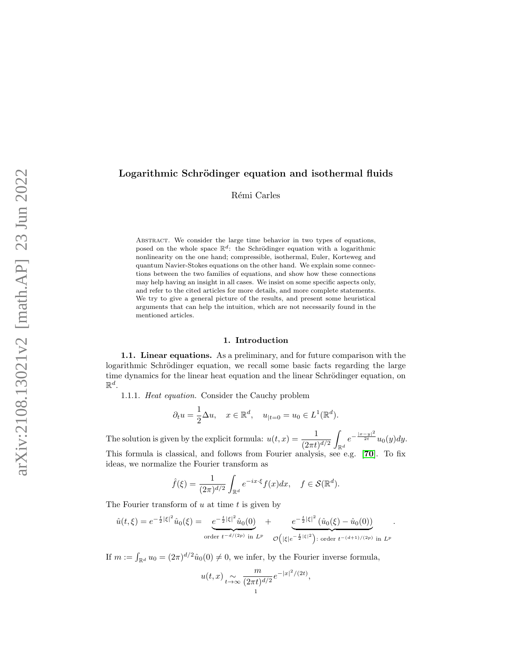# Logarithmic Schrödinger equation and isothermal fluids

Rémi Carles

ABSTRACT. We consider the large time behavior in two types of equations, posed on the whole space  $\mathbb{R}^d$ : the Schrödinger equation with a logarithmic nonlinearity on the one hand; compressible, isothermal, Euler, Korteweg and quantum Navier-Stokes equations on the other hand. We explain some connections between the two families of equations, and show how these connections may help having an insight in all cases. We insist on some specific aspects only, and refer to the cited articles for more details, and more complete statements. We try to give a general picture of the results, and present some heuristical arguments that can help the intuition, which are not necessarily found in the mentioned articles.

## 1. Introduction

1.1. Linear equations. As a preliminary, and for future comparison with the logarithmic Schrödinger equation, we recall some basic facts regarding the large time dynamics for the linear heat equation and the linear Schrödinger equation, on  $\mathbb{R}^d$ .

1.1.1. Heat equation. Consider the Cauchy problem

$$
\partial_t u = \frac{1}{2} \Delta u, \quad x \in \mathbb{R}^d, \quad u_{|t=0} = u_0 \in L^1(\mathbb{R}^d).
$$

The solution is given by the explicit formula:  $u(t,x) = \frac{1}{(2\pi t)^{d/2}}$ Z  $\int_{\mathbb{R}^d} e^{-\frac{|x-y|^2}{2t}} u_0(y) dy.$ This formula is classical, and follows from Fourier analysis, see e.g. [[70](#page-29-0)]. To fix ideas, we normalize the Fourier transform as

$$
\hat{f}(\xi) = \frac{1}{(2\pi)^{d/2}} \int_{\mathbb{R}^d} e^{-ix\cdot\xi} f(x) dx, \quad f \in \mathcal{S}(\mathbb{R}^d).
$$

The Fourier transform of  $u$  at time  $t$  is given by

$$
\hat{u}(t,\xi) = e^{-\frac{t}{2}|\xi|^2}\hat{u}_0(\xi) = e^{-\frac{t}{2}|\xi|^2}\hat{u}_0(0) + e^{-\frac{t}{2}|\xi|^2}(\hat{u}_0(\xi) - \hat{u}_0(0))
$$
  
order  $t^{-d/(2p)}$  in  $L^p$   $\mathcal{O}(|\xi|e^{-\frac{t}{2}|\xi|^2})$ : order  $t^{-(d+1)/(2p)}$  in  $L^p$ 

.

If  $m := \int_{\mathbb{R}^d} u_0 = (2\pi)^{d/2} \hat{u}_0(0) \neq 0$ , we infer, by the Fourier inverse formula,

$$
u(t,x) \underset{t \to \infty}{\sim} \frac{m}{(2\pi t)^{d/2}} e^{-|x|^2/(2t)},
$$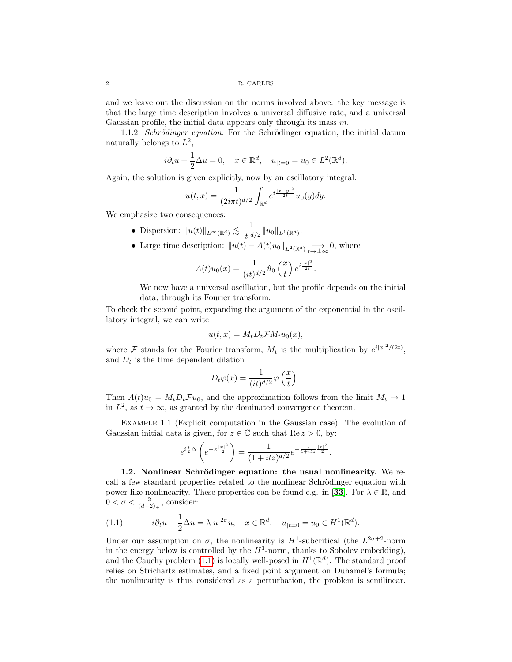and we leave out the discussion on the norms involved above: the key message is that the large time description involves a universal diffusive rate, and a universal Gaussian profile, the initial data appears only through its mass  $m$ .

<span id="page-1-1"></span>1.1.2. Schrödinger equation. For the Schrödinger equation, the initial datum naturally belongs to  $L^2$ ,

$$
i\partial_t u + \frac{1}{2}\Delta u = 0
$$
,  $x \in \mathbb{R}^d$ ,  $u_{|t=0} = u_0 \in L^2(\mathbb{R}^d)$ .

Again, the solution is given explicitly, now by an oscillatory integral:

$$
u(t,x) = \frac{1}{(2i\pi t)^{d/2}} \int_{\mathbb{R}^d} e^{i\frac{|x-y|^2}{2t}} u_0(y) dy.
$$

We emphasize two consequences:

- Dispersion:  $||u(t)||_{L^{\infty}(\mathbb{R}^d)} \lesssim \frac{1}{|t|d}$  $\frac{1}{|t|^{d/2}}\|u_0\|_{L^1(\mathbb{R}^d)}.$
- Large time description:  $||u(t) A(t)u_0||_{L^2(\mathbb{R}^d)} \longrightarrow_{t\to\pm\infty} 0$ , where

$$
A(t)u_0(x) = \frac{1}{(it)^{d/2}}\hat{u}_0\left(\frac{x}{t}\right)e^{i\frac{|x|^2}{2t}}.
$$

We now have a universal oscillation, but the profile depends on the initial data, through its Fourier transform.

To check the second point, expanding the argument of the exponential in the oscillatory integral, we can write

$$
u(t,x) = M_t D_t \mathcal{F} M_t u_0(x),
$$

where F stands for the Fourier transform,  $M_t$  is the multiplication by  $e^{i|x|^2/(2t)}$ , and  $D_t$  is the time dependent dilation

$$
D_t \varphi(x) = \frac{1}{(it)^{d/2}} \varphi\left(\frac{x}{t}\right).
$$

Then  $A(t)u_0 = M_t D_t \mathcal{F} u_0$ , and the approximation follows from the limit  $M_t \to 1$ in  $L^2$ , as  $t \to \infty$ , as granted by the dominated convergence theorem.

<span id="page-1-3"></span>Example 1.1 (Explicit computation in the Gaussian case). The evolution of Gaussian initial data is given, for  $z \in \mathbb{C}$  such that  $\text{Re } z > 0$ , by:

$$
e^{i\frac{t}{2}\Delta} \left(e^{-z\frac{|x|^2}{2}}\right) = \frac{1}{(1+itz)^{d/2}} e^{-\frac{z}{1+itz}\frac{|x|^2}{2}}.
$$

<span id="page-1-2"></span>1.2. Nonlinear Schrödinger equation: the usual nonlinearity. We recall a few standard properties related to the nonlinear Schrödinger equation with power-like nonlinearity. These properties can be found e.g. in [[33](#page-28-0)]. For  $\lambda \in \mathbb{R}$ , and  $0 < \sigma < \frac{2}{(d-2)_+}$ , consider:

<span id="page-1-0"></span>(1.1) 
$$
i\partial_t u + \frac{1}{2}\Delta u = \lambda |u|^{2\sigma}u, \quad x \in \mathbb{R}^d, \quad u_{|t=0} = u_0 \in H^1(\mathbb{R}^d).
$$

Under our assumption on  $\sigma$ , the nonlinearity is  $H^1$ -subcritical (the  $L^{2\sigma+2}$ -norm in the energy below is controlled by the  $H^1$ -norm, thanks to Sobolev embedding), and the Cauchy problem [\(1.1\)](#page-1-0) is locally well-posed in  $H^1(\mathbb{R}^d)$ . The standard proof relies on Strichartz estimates, and a fixed point argument on Duhamel's formula; the nonlinearity is thus considered as a perturbation, the problem is semilinear.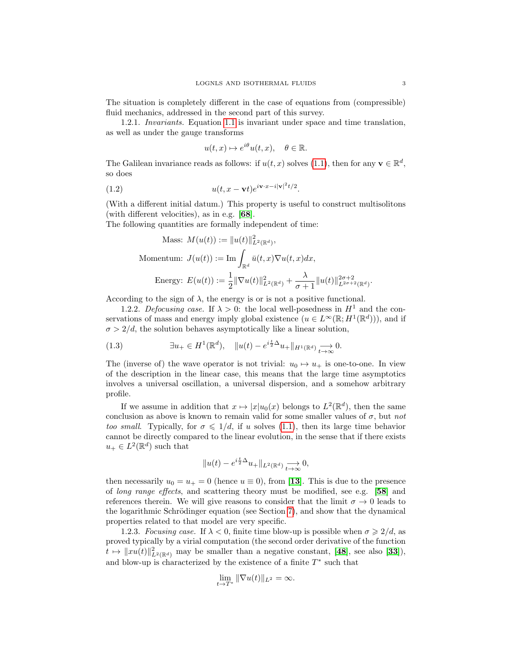The situation is completely different in the case of equations from (compressible) fluid mechanics, addressed in the second part of this survey.

1.2.1. Invariants. Equation [1.1](#page-1-0) is invariant under space and time translation, as well as under the gauge transforms

<span id="page-2-1"></span>
$$
u(t,x) \mapsto e^{i\theta}u(t,x), \quad \theta \in \mathbb{R}.
$$

The Galilean invariance reads as follows: if  $u(t, x)$  solves [\(1.1\)](#page-1-0), then for any  $\mathbf{v} \in \mathbb{R}^d$ , so does

(1.2) 
$$
u(t, x - \mathbf{v}t)e^{i\mathbf{v}\cdot x - i|\mathbf{v}|^{2}t/2}.
$$

(With a different initial datum.) This property is useful to construct multisolitons (with different velocities), as in e.g. [[68](#page-29-1)].

The following quantities are formally independent of time:

Mass: 
$$
M(u(t)) := ||u(t)||_{L^2(\mathbb{R}^d)}^2
$$
,  
\nMomentum:  $J(u(t)) := \text{Im} \int_{\mathbb{R}^d} \bar{u}(t, x) \nabla u(t, x) dx$ ,  
\nEnergy:  $E(u(t)) := \frac{1}{2} ||\nabla u(t)||_{L^2(\mathbb{R}^d)}^2 + \frac{\lambda}{\sigma + 1} ||u(t)||_{L^{2\sigma+2}(\mathbb{R}^d)}^{2\sigma+2}$ 

According to the sign of  $\lambda$ , the energy is or is not a positive functional.

1.2.2. Defocusing case. If  $\lambda > 0$ : the local well-posedness in  $H^1$  and the conservations of mass and energy imply global existence  $(u \in L^{\infty}(\mathbb{R}; H^1(\mathbb{R}^d)))$ , and if  $\sigma > 2/d$ , the solution behaves asymptotically like a linear solution,

<span id="page-2-0"></span>(1.3) 
$$
\exists u_+ \in H^1(\mathbb{R}^d), \quad \|u(t) - e^{i\frac{t}{2}\Delta}u_+\|_{H^1(\mathbb{R}^d)} \underset{t \to \infty}{\longrightarrow} 0.
$$

The (inverse of) the wave operator is not trivial:  $u_0 \mapsto u_+$  is one-to-one. In view of the description in the linear case, this means that the large time asymptotics involves a universal oscillation, a universal dispersion, and a somehow arbitrary profile.

If we assume in addition that  $x \mapsto |x| u_0(x)$  belongs to  $L^2(\mathbb{R}^d)$ , then the same conclusion as above is known to remain valid for some smaller values of  $\sigma$ , but not too small. Typically, for  $\sigma \leq 1/d$ , if u solves [\(1.1\)](#page-1-0), then its large time behavior cannot be directly compared to the linear evolution, in the sense that if there exists  $u_+ \in L^2(\mathbb{R}^d)$  such that

$$
\|u(t)-e^{i\frac{t}{2}\Delta}u_+\|_{L^2(\mathbb{R}^d)}\underset{t\rightarrow\infty}{\longrightarrow}0,
$$

then necessarily  $u_0 = u_+ = 0$  (hence  $u \equiv 0$ ), from [[13](#page-27-0)]. This is due to the presence of long range effects, and scattering theory must be modified, see e.g. [[58](#page-29-2)] and references therein. We will give reasons to consider that the limit  $\sigma \to 0$  leads to the logarithmic Schrödinger equation (see Section [7\)](#page-20-0), and show that the dynamical properties related to that model are very specific.

1.2.3. Focusing case. If  $\lambda < 0$ , finite time blow-up is possible when  $\sigma \geq 2/d$ , as proved typically by a virial computation (the second order derivative of the function  $t \mapsto ||xu(t)||^2_{L^2(\mathbb{R}^d)}$  may be smaller than a negative constant, [[48](#page-28-1)], see also [[33](#page-28-0)]), and blow-up is characterized by the existence of a finite  $T^*$  such that

$$
\lim_{t \to T^*} \|\nabla u(t)\|_{L^2} = \infty.
$$

.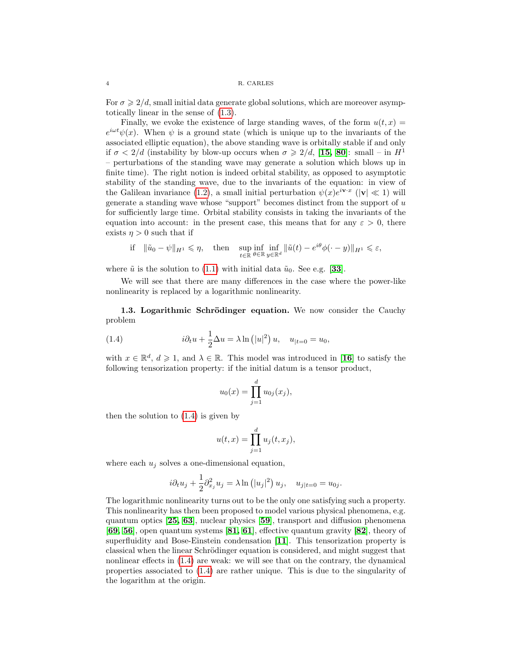For  $\sigma \geq 2/d$ , small initial data generate global solutions, which are moreover asymptotically linear in the sense of [\(1.3\)](#page-2-0).

Finally, we evoke the existence of large standing waves, of the form  $u(t, x) =$  $e^{i\omega t}\psi(x)$ . When  $\psi$  is a ground state (which is unique up to the invariants of the associated elliptic equation), the above standing wave is orbitally stable if and only if  $\sigma < 2/d$  (instability by blow-up occurs when  $\sigma \geq 2/d$ , [[15,](#page-27-1) [80](#page-29-3)]: small – in  $H^1$ – perturbations of the standing wave may generate a solution which blows up in finite time). The right notion is indeed orbital stability, as opposed to asymptotic stability of the standing wave, due to the invariants of the equation: in view of the Galilean invariance [\(1.2\)](#page-2-1), a small initial perturbation  $\psi(x)e^{i\mathbf{v}\cdot x}$  ( $|\mathbf{v}| \ll 1$ ) will generate a standing wave whose "support" becomes distinct from the support of  $u$ for sufficiently large time. Orbital stability consists in taking the invariants of the equation into account: in the present case, this means that for any  $\varepsilon > 0$ , there exists  $\eta > 0$  such that if

$$
\text{if} \quad \|\tilde{u}_0 - \psi\|_{H^1} \leqslant \eta, \quad \text{then} \quad \sup_{t \in \mathbb{R}} \inf_{\theta \in \mathbb{R}} \inf_{y \in \mathbb{R}^d} \|\tilde{u}(t) - e^{i\theta}\phi(\cdot - y)\|_{H^1} \leqslant \varepsilon,
$$

where  $\tilde{u}$  is the solution to [\(1.1\)](#page-1-0) with initial data  $\tilde{u}_0$ . See e.g. [[33](#page-28-0)].

We will see that there are many differences in the case where the power-like nonlinearity is replaced by a logarithmic nonlinearity.

<span id="page-3-1"></span>1.3. Logarithmic Schrödinger equation. We now consider the Cauchy problem

(1.4) 
$$
i\partial_t u + \frac{1}{2}\Delta u = \lambda \ln(|u|^2) u, \quad u_{|t=0} = u_0,
$$

with  $x \in \mathbb{R}^d$ ,  $d \geqslant 1$ , and  $\lambda \in \mathbb{R}$ . This model was introduced in [[16](#page-27-2)] to satisfy the following tensorization property: if the initial datum is a tensor product,

<span id="page-3-0"></span>
$$
u_0(x) = \prod_{j=1}^d u_{0j}(x_j),
$$

then the solution to [\(1.4\)](#page-3-0) is given by

$$
u(t,x) = \prod_{j=1}^d u_j(t,x_j),
$$

where each  $u_i$  solves a one-dimensional equation,

$$
i\partial_t u_j + \frac{1}{2}\partial_{x_j}^2 u_j = \lambda \ln\left(|u_j|^2\right)u_j, \quad u_{j|t=0} = u_{0j}.
$$

The logarithmic nonlinearity turns out to be the only one satisfying such a property. This nonlinearity has then been proposed to model various physical phenomena, e.g. quantum optics [[25,](#page-27-3) [63](#page-29-4)], nuclear physics [[59](#page-29-5)], transport and diffusion phenomena [[69,](#page-29-6) [56](#page-29-7)], open quantum systems [[81,](#page-29-8) [61](#page-29-9)], effective quantum gravity [[82](#page-29-10)], theory of superfluidity and Bose-Einstein condensation [[11](#page-27-4)]. This tensorization property is classical when the linear Schrödinger equation is considered, and might suggest that nonlinear effects in [\(1.4\)](#page-3-0) are weak: we will see that on the contrary, the dynamical properties associated to [\(1.4\)](#page-3-0) are rather unique. This is due to the singularity of the logarithm at the origin.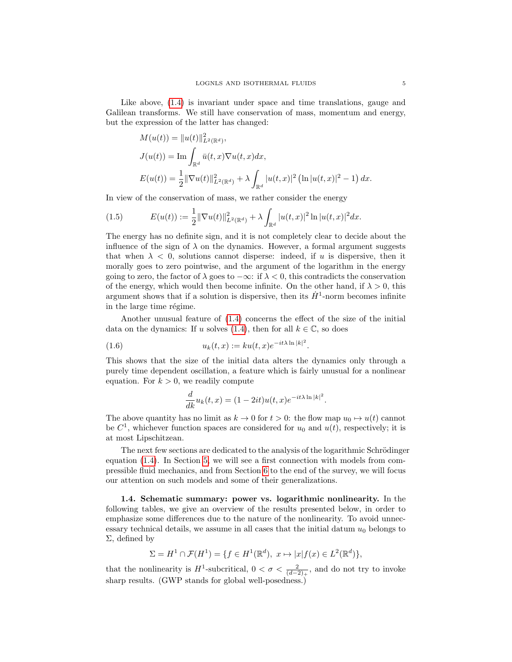Like above,  $(1.4)$  is invariant under space and time translations, gauge and Galilean transforms. We still have conservation of mass, momentum and energy, but the expression of the latter has changed:

$$
M(u(t)) = ||u(t)||_{L^2(\mathbb{R}^d)}^2,
$$
  
\n
$$
J(u(t)) = \text{Im} \int_{\mathbb{R}^d} \bar{u}(t, x) \nabla u(t, x) dx,
$$
  
\n
$$
E(u(t)) = \frac{1}{2} ||\nabla u(t)||_{L^2(\mathbb{R}^d)}^2 + \lambda \int_{\mathbb{R}^d} |u(t, x)|^2 (\ln |u(t, x)|^2 - 1) dx.
$$

In view of the conservation of mass, we rather consider the energy

<span id="page-4-0"></span>(1.5) 
$$
E(u(t)) := \frac{1}{2} \|\nabla u(t)\|_{L^2(\mathbb{R}^d)}^2 + \lambda \int_{\mathbb{R}^d} |u(t,x)|^2 \ln |u(t,x)|^2 dx.
$$

The energy has no definite sign, and it is not completely clear to decide about the influence of the sign of  $\lambda$  on the dynamics. However, a formal argument suggests that when  $\lambda < 0$ , solutions cannot disperse: indeed, if u is dispersive, then it morally goes to zero pointwise, and the argument of the logarithm in the energy going to zero, the factor of  $\lambda$  goes to  $-\infty$ : if  $\lambda < 0$ , this contradicts the conservation of the energy, which would then become infinite. On the other hand, if  $\lambda > 0$ , this argument shows that if a solution is dispersive, then its  $\dot{H}^1$ -norm becomes infinite in the large time régime.

Another unusual feature of [\(1.4\)](#page-3-0) concerns the effect of the size of the initial data on the dynamics: If u solves [\(1.4\)](#page-3-0), then for all  $k \in \mathbb{C}$ , so does

.

(1.6) 
$$
u_k(t, x) := ku(t, x)e^{-it\lambda \ln |k|^2}
$$

This shows that the size of the initial data alters the dynamics only through a purely time dependent oscillation, a feature which is fairly unusual for a nonlinear equation. For  $k > 0$ , we readily compute

<span id="page-4-1"></span>
$$
\frac{d}{dk}u_k(t,x) = (1 - 2it)u(t,x)e^{-it\lambda \ln |k|^2}.
$$

The above quantity has no limit as  $k \to 0$  for  $t > 0$ : the flow map  $u_0 \mapsto u(t)$  cannot be  $C^1$ , whichever function spaces are considered for  $u_0$  and  $u(t)$ , respectively; it is at most Lipschitzean.

The next few sections are dedicated to the analysis of the logarithmic Schrödinger equation [\(1.4\)](#page-3-0). In Section [5,](#page-13-0) we will see a first connection with models from compressible fluid mechanics, and from Section [6](#page-20-1) to the end of the survey, we will focus our attention on such models and some of their generalizations.

1.4. Schematic summary: power vs. logarithmic nonlinearity. In the following tables, we give an overview of the results presented below, in order to emphasize some differences due to the nature of the nonlinearity. To avoid unnecessary technical details, we assume in all cases that the initial datum  $u_0$  belongs to Σ, defined by

$$
\Sigma = H^1 \cap \mathcal{F}(H^1) = \{ f \in H^1(\mathbb{R}^d), \ x \mapsto |x|f(x) \in L^2(\mathbb{R}^d) \},
$$

that the nonlinearity is  $H^1$ -subcritical,  $0 < \sigma < \frac{2}{(d-2)_+}$ , and do not try to invoke sharp results. (GWP stands for global well-posedness.)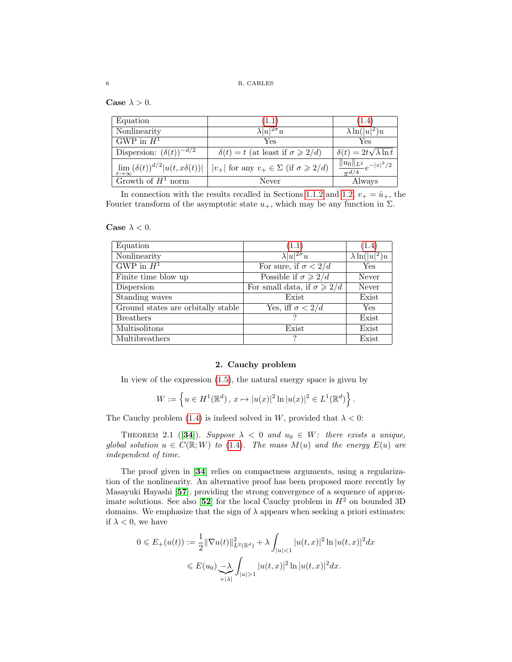Case  $\lambda > 0$ .

| Equation                                              | (1.1)                                                    | (1.4)                                         |
|-------------------------------------------------------|----------------------------------------------------------|-----------------------------------------------|
| Nonlinearity                                          | $\lambda  u ^{2\sigma}u$                                 | $\lambda \ln\left(\overline{ u ^2}\right)u$   |
| GWP in $H^1$                                          | Yes                                                      | Yes                                           |
| Dispersion: $(\delta(t))^{-d/2}$                      | $\delta(t) = t$ (at least if $\sigma \geq 2/d$ )         | $\delta(t) = 2t\sqrt{\lambda \ln t}$          |
| $\lim_{t\to\infty}(\delta(t))^{d/2} u(t,x\delta(t)) $ | $ v_+ $ for any $v_+ \in \Sigma$ (if $\sigma \geq 2/d$ ) | $\frac{  u_0  _{L^2}}{\pi^{d/4}}e^{- x ^2/2}$ |
| Growth of $H^1$ norm                                  | Never                                                    | Always                                        |

In connection with the results recalled in Sections [1.1.2](#page-1-1) and [1.2,](#page-1-2)  $v_{+} = \hat{u}_{+}$ , the Fourier transform of the asymptotic state  $u_+$ , which may be any function in  $\Sigma$ .

| Case $\lambda$ |  | 0. |
|----------------|--|----|
|                |  |    |

| Equation                           | (1.1)                                     | (1.4)                 |
|------------------------------------|-------------------------------------------|-----------------------|
| Nonlinearity                       | $\lambda  u ^{2\sigma}u$                  | $\lambda \ln( u ^2)u$ |
| GWP in $H^1$                       | For sure, if $\sigma < 2/d$               | Yes                   |
| Finite time blow up                | Possible if $\sigma \geqslant 2/d$        | Never                 |
| Dispersion                         | For small data, if $\sigma \geqslant 2/d$ | Never                 |
| Standing waves                     | Exist                                     | Exist                 |
| Ground states are orbitally stable | Yes, iff $\sigma < 2/d$                   | Yes                   |
| <b>Breathers</b>                   |                                           | Exist                 |
| Multisolitons                      | Exist                                     | Exist                 |
| Multibreathers                     |                                           | Exist                 |

# 2. Cauchy problem

In view of the expression [\(1.5\)](#page-4-0), the natural energy space is given by

$$
W := \left\{ u \in H^1(\mathbb{R}^d), \, x \mapsto |u(x)|^2 \ln |u(x)|^2 \in L^1(\mathbb{R}^d) \right\}.
$$

The Cauchy problem [\(1.4\)](#page-3-0) is indeed solved in W, provided that  $\lambda < 0$ :

THEOREM 2.1 ([[34](#page-28-2)]). Suppose  $\lambda < 0$  and  $u_0 \in W$ : there exists a unique, global solution  $u \in C(\mathbb{R}; W)$  to [\(1.4\)](#page-3-0). The mass  $M(u)$  and the energy  $E(u)$  are independent of time.

The proof given in [[34](#page-28-2)] relies on compactness arguments, using a regularization of the nonlinearity. An alternative proof has been proposed more recently by Masayuki Hayashi [[57](#page-29-11)], providing the strong convergence of a sequence of approx-imate solutions. See also [[52](#page-28-3)] for the local Cauchy problem in  $H^2$  on bounded 3D domains. We emphasize that the sign of  $\lambda$  appears when seeking a priori estimates: if  $\lambda < 0$ , we have

$$
0 \leqslant E_{+}(u(t)) := \frac{1}{2} \|\nabla u(t)\|_{L^{2}(\mathbb{R}^{d})}^{2} + \lambda \int_{|u| < 1} |u(t,x)|^{2} \ln |u(t,x)|^{2} dx
$$
  

$$
\leqslant E(u_{0}) \frac{1}{\lambda} \int_{|u| > 1} |u(t,x)|^{2} \ln |u(t,x)|^{2} dx.
$$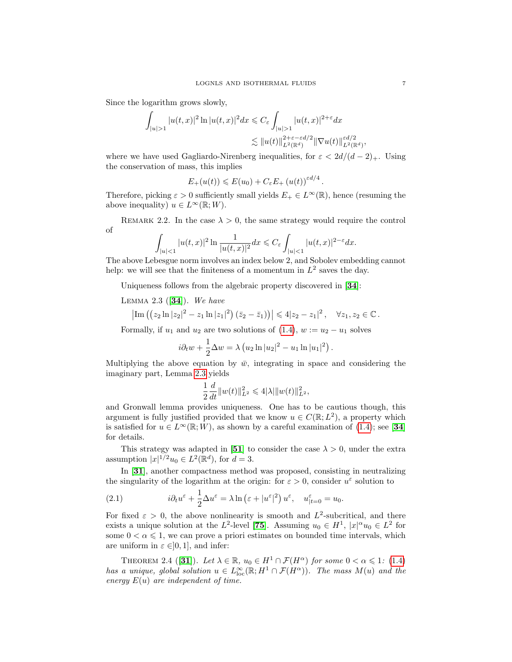Since the logarithm grows slowly,

$$
\int_{|u|>1} |u(t,x)|^2 \ln |u(t,x)|^2 dx \leq C_{\varepsilon} \int_{|u|>1} |u(t,x)|^{2+\varepsilon} dx
$$
  

$$
\lesssim ||u(t)||_{L^2(\mathbb{R}^d)}^{2+\varepsilon-\varepsilon d/2} ||\nabla u(t)||_{L^2(\mathbb{R}^d)}^{\varepsilon d/2},
$$

where we have used Gagliardo-Nirenberg inequalities, for  $\varepsilon < 2d/(d-2)_{+}$ . Using the conservation of mass, this implies

$$
E_+(u(t)) \leqslant E(u_0) + C_{\varepsilon} E_+(u(t))^{\varepsilon d/4}.
$$

Therefore, picking  $\varepsilon > 0$  sufficiently small yields  $E_+ \in L^{\infty}(\mathbb{R})$ , hence (resuming the above inequality)  $u \in L^{\infty}(\mathbb{R}; W)$ .

<span id="page-6-1"></span>REMARK 2.2. In the case  $\lambda > 0$ , the same strategy would require the control of

$$
\int_{|u|<1} |u(t,x)|^2 \ln \frac{1}{|u(t,x)|^2} dx \leq C_{\varepsilon} \int_{|u|<1} |u(t,x)|^{2-\varepsilon} dx.
$$

The above Lebesgue norm involves an index below 2, and Sobolev embedding cannot help: we will see that the finiteness of a momentum in  $L^2$  saves the day.

Uniqueness follows from the algebraic property discovered in [[34](#page-28-2)]:

<span id="page-6-0"></span>LEMMA 2.3  $([34])$  $([34])$  $([34])$ . We have

$$
\left|\mathrm{Im} \left( \left( z_2 \ln |z_2|^2 - z_1 \ln |z_1|^2 \right) \left( \bar{z}_2 - \bar{z}_1 \right) \right)\right| \leq 4|z_2 - z_1|^2 \,, \quad \forall z_1, z_2 \in \mathbb{C} \,.
$$

Formally, if  $u_1$  and  $u_2$  are two solutions of [\(1.4\)](#page-3-0),  $w := u_2 - u_1$  solves

$$
i\partial_t w + \frac{1}{2}\Delta w = \lambda (u_2 \ln |u_2|^2 - u_1 \ln |u_1|^2).
$$

Multiplying the above equation by  $\bar{w}$ , integrating in space and considering the imaginary part, Lemma [2.3](#page-6-0) yields

$$
\frac{1}{2}\frac{d}{dt}||w(t)||_{L^2}^2 \leq 4|\lambda| ||w(t)||_{L^2}^2,
$$

and Gronwall lemma provides uniqueness. One has to be cautious though, this argument is fully justified provided that we know  $u \in C(\mathbb{R}; L^2)$ , a property which is satisfied for  $u \in L^{\infty}(\mathbb{R}; W)$ , as shown by a careful examination of [\(1.4\)](#page-3-0); see [[34](#page-28-2)] for details.

This strategy was adapted in [[51](#page-28-4)] to consider the case  $\lambda > 0$ , under the extra assumption  $|x|^{1/2}u_0 \in L^2(\mathbb{R}^d)$ , for  $d=3$ .

In [[31](#page-28-5)], another compactness method was proposed, consisting in neutralizing the singularity of the logarithm at the origin: for  $\varepsilon > 0$ , consider  $u^{\varepsilon}$  solution to

<span id="page-6-3"></span>(2.1) 
$$
i\partial_t u^{\varepsilon} + \frac{1}{2} \Delta u^{\varepsilon} = \lambda \ln \left( \varepsilon + |u^{\varepsilon}|^2 \right) u^{\varepsilon}, \quad u^{\varepsilon}_{|t=0} = u_0.
$$

For fixed  $\varepsilon > 0$ , the above nonlinearity is smooth and  $L^2$ -subcritical, and there exists a unique solution at the L<sup>2</sup>-level [[75](#page-29-12)]. Assuming  $u_0 \in H^1$ ,  $|x|^\alpha u_0 \in L^2$  for some  $0 < \alpha \leq 1$ , we can prove a priori estimates on bounded time intervals, which are uniform in  $\varepsilon \in ]0,1]$ , and infer:

<span id="page-6-2"></span>THEOREM 2.4 ([[31](#page-28-5)]). Let  $\lambda \in \mathbb{R}$ ,  $u_0 \in H^1 \cap \mathcal{F}(H^{\alpha})$  for some  $0 < \alpha \leq 1$ : [\(1.4\)](#page-3-0) has a unique, global solution  $u \in L^{\infty}_{loc}(\mathbb{R}; H^1 \cap \mathcal{F}(H^{\alpha}))$ . The mass  $M(u)$  and the energy  $E(u)$  are independent of time.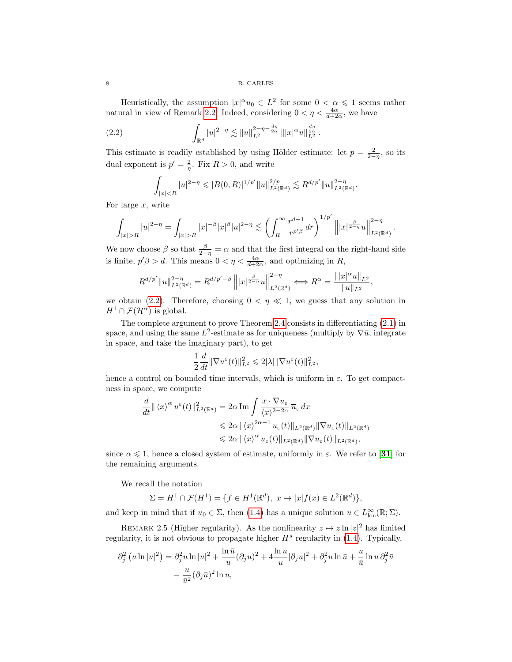Heuristically, the assumption  $|x|^{\alpha}u_0 \in L^2$  for some  $0 < \alpha \leq 1$  seems rather natural in view of Remark [2.2.](#page-6-1) Indeed, considering  $0 < \eta < \frac{4\alpha}{d+2\alpha}$ , we have

(2.2) 
$$
\int_{\mathbb{R}^d} |u|^{2-\eta} \lesssim \|u\|_{L^2}^{2-\eta-\frac{d\eta}{2\alpha}} \| |x|^{\alpha} u \|_{L^2}^{\frac{d\eta}{2\alpha}}.
$$

This estimate is readily established by using Hölder estimate: let  $p = \frac{2}{2-\eta}$ , so its dual exponent is  $p' = \frac{2}{\eta}$ . Fix  $R > 0$ , and write

<span id="page-7-0"></span>
$$
\int_{|x|
$$

For large x, write

$$
\int_{|x|>R} |u|^{2-\eta} = \int_{|x|>R} |x|^{-\beta} |x|^{\beta} |u|^{2-\eta} \lesssim \left( \int_R^{\infty} \frac{r^{d-1}}{r^{p' \beta}} dr \right)^{1/p'} \left\| |x|^{\frac{\beta}{2-\eta}} u \right\|_{L^2(\mathbb{R}^d)}^{2-\eta}.
$$

We now choose  $\beta$  so that  $\frac{\beta}{2-\eta} = \alpha$  and that the first integral on the right-hand side is finite,  $p' \beta > d$ . This means  $0 < \eta < \frac{4\alpha}{d+2\alpha}$ , and optimizing in R,

$$
R^{d/p'}\|u\|_{L^2(\mathbb{R}^d)}^{2-\eta}=R^{d/p'-\beta}\left\||x|^{\frac{\beta}{2-\eta}}u\right\|_{L^2(\mathbb{R}^d)}^{2-\eta}\Longleftrightarrow R^{\alpha}=\frac{\||x|^{\alpha}u\|_{L^2}}{\|u\|_{L^2}},
$$

we obtain [\(2.2\)](#page-7-0). Therefore, choosing  $0 < \eta \ll 1$ , we guess that any solution in  $H^1 \cap \mathcal{F}(\mathcal{H}^{\alpha})$  is global.

The complete argument to prove Theorem [2.4](#page-6-2) consists in differentiating [\(2.1\)](#page-6-3) in space, and using the same  $L^2$ -estimate as for uniqueness (multiply by  $\nabla \bar{u}$ , integrate in space, and take the imaginary part), to get

$$
\frac{1}{2}\frac{d}{dt}\|\nabla u^{\varepsilon}(t)\|_{L^{2}}^{2} \leq 2|\lambda| \|\nabla u^{\varepsilon}(t)\|_{L^{2}}^{2},
$$

hence a control on bounded time intervals, which is uniform in  $\varepsilon$ . To get compactness in space, we compute

$$
\frac{d}{dt} || \langle x \rangle^{\alpha} u^{\varepsilon}(t) ||_{L^{2}(\mathbb{R}^{d})}^{2} = 2\alpha \operatorname{Im} \int \frac{x \cdot \nabla u_{\varepsilon}}{\langle x \rangle^{2-2\alpha}} \overline{u}_{\varepsilon} dx
$$
  
\n
$$
\leq 2\alpha || \langle x \rangle^{2\alpha-1} u_{\varepsilon}(t) ||_{L^{2}(\mathbb{R}^{d})} || \nabla u_{\varepsilon}(t) ||_{L^{2}(\mathbb{R}^{d})}
$$
  
\n
$$
\leq 2\alpha || \langle x \rangle^{\alpha} u_{\varepsilon}(t) ||_{L^{2}(\mathbb{R}^{d})} || \nabla u_{\varepsilon}(t) ||_{L^{2}(\mathbb{R}^{d})},
$$

since  $\alpha \leq 1$ , hence a closed system of estimate, uniformly in  $\varepsilon$ . We refer to [[31](#page-28-5)] for the remaining arguments.

We recall the notation

$$
\Sigma = H^1 \cap \mathcal{F}(H^1) = \{ f \in H^1(\mathbb{R}^d), \ x \mapsto |x|f(x) \in L^2(\mathbb{R}^d) \},
$$

and keep in mind that if  $u_0 \in \Sigma$ , then [\(1.4\)](#page-3-0) has a unique solution  $u \in L^{\infty}_{loc}(\mathbb{R}; \Sigma)$ .

REMARK 2.5 (Higher regularity). As the nonlinearity  $z \mapsto z \ln |z|^2$  has limited regularity, it is not obvious to propagate higher  $H<sup>s</sup>$  regularity in [\(1.4\)](#page-3-0). Typically,

$$
\partial_j^2 (u \ln |u|^2) = \partial_j^2 u \ln |u|^2 + \frac{\ln \bar{u}}{u} (\partial_j u)^2 + 4 \frac{\ln u}{u} |\partial_j u|^2 + \partial_j^2 u \ln \bar{u} + \frac{u}{\bar{u}} \ln u \partial_j^2 \bar{u}
$$

$$
- \frac{u}{\bar{u}^2} (\partial_j \bar{u})^2 \ln u,
$$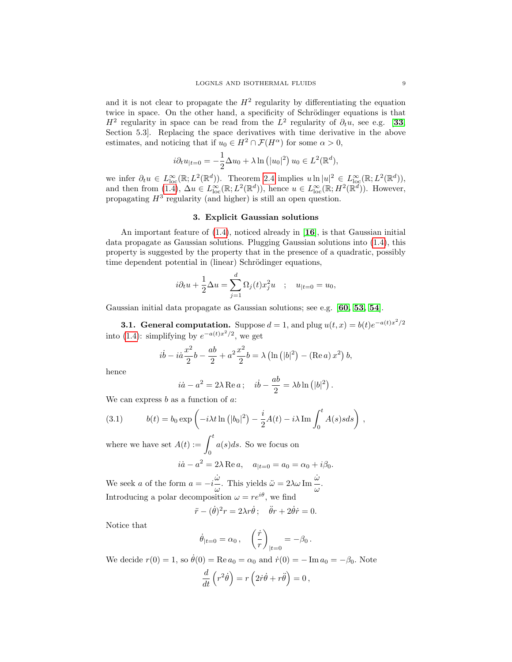and it is not clear to propagate the  $H^2$  regularity by differentiating the equation twice in space. On the other hand, a specificity of Schrödinger equations is that  $H^2$  regularity in space can be read from the  $L^2$  regularity of  $\partial_t u$ , see e.g. [[33](#page-28-0), Section 5.3]. Replacing the space derivatives with time derivative in the above estimates, and noticing that if  $u_0 \in H^2 \cap \mathcal{F}(H^{\alpha})$  for some  $\alpha > 0$ ,

$$
i\partial_t u_{|t=0} = -\frac{1}{2}\Delta u_0 + \lambda \ln (|u_0|^2) \ u_0 \in L^2(\mathbb{R}^d),
$$

we infer  $\partial_t u \in L^{\infty}_{loc}(\mathbb{R}; L^2(\mathbb{R}^d))$ . Theorem [2.4](#page-6-2) implies  $u \ln |u|^2 \in L^{\infty}_{loc}(\mathbb{R}; L^2(\mathbb{R}^d))$ , and then from  $(1.4)$ ,  $\Delta u \in L^{\infty}_{loc}(\mathbb{R}; L^{2}(\mathbb{R}^{d}))$ , hence  $u \in L^{\infty}_{loc}(\mathbb{R}; H^{2}(\mathbb{R}^{d}))$ . However, propagating  $H^3$  regularity (and higher) is still an open question.

## 3. Explicit Gaussian solutions

<span id="page-8-1"></span>An important feature of [\(1.4\)](#page-3-0), noticed already in [[16](#page-27-2)], is that Gaussian initial data propagate as Gaussian solutions. Plugging Gaussian solutions into [\(1.4\)](#page-3-0), this property is suggested by the property that in the presence of a quadratic, possibly time dependent potential in (linear) Schrödinger equations,

$$
i\partial_t u + \frac{1}{2}\Delta u = \sum_{j=1}^d \Omega_j(t)x_j^2 u \quad ; \quad u_{|t=0} = u_0,
$$

Gaussian initial data propagate as Gaussian solutions; see e.g. [[60,](#page-29-13) [53,](#page-28-6) [54](#page-28-7)].

**3.1. General computation.** Suppose  $d = 1$ , and plug  $u(t, x) = b(t)e^{-a(t)x^2/2}$ into [\(1.4\)](#page-3-0): simplifying by  $e^{-a(t)x^2/2}$ , we get

$$
i\dot{b} - i\dot{a}\frac{x^2}{2}b - \frac{ab}{2} + a^2\frac{x^2}{2}b = \lambda \left(\ln(|b|^2) - (\text{Re } a)x^2\right)b,
$$

hence

$$
i\dot{a} - a^2 = 2\lambda \operatorname{Re} a
$$
;  $i\dot{b} - \frac{ab}{2} = \lambda b \ln (|b|^2)$ .

We can express  $b$  as a function of  $a$ :

<span id="page-8-0"></span>(3.1) 
$$
b(t) = b_0 \exp\left(-i\lambda t \ln(|b_0|^2) - \frac{i}{2}A(t) - i\lambda \Im \int_0^t A(s)s ds\right),
$$

where we have set  $A(t) := \int_0^t$ 0  $a(s)ds$ . So we focus on  $i\dot{a} - a^2 = 2\lambda \operatorname{Re} a, \quad a_{|t=0} = a_0 = \alpha_0 + i\beta_0.$ 

We seek *a* of the form 
$$
a = -i\frac{\dot{\omega}}{\omega}
$$
. This yields  $\ddot{\omega} = 2\lambda\omega \operatorname{Im} \frac{\dot{\omega}}{\omega}$ .

Introducing a polar decomposition  $\omega = re^{i\theta}$ , we find

$$
\ddot{r} - (\dot{\theta})^2 r = 2\lambda r \dot{\theta}; \quad \ddot{\theta} r + 2\dot{\theta} \dot{r} = 0.
$$

Notice that

$$
\dot{\theta}_{|t=0} = \alpha_0 \,, \quad \left(\frac{\dot{r}}{r}\right)_{|t=0} = -\beta_0 \,.
$$

We decide  $r(0) = 1$ , so  $\dot{\theta}(0) = \text{Re } a_0 = \alpha_0$  and  $\dot{r}(0) = -\text{Im } a_0 = -\beta_0$ . Note

$$
\frac{d}{dt}\left(r^2\dot{\theta}\right) = r\left(2\dot{r}\dot{\theta} + r\ddot{\theta}\right) = 0,
$$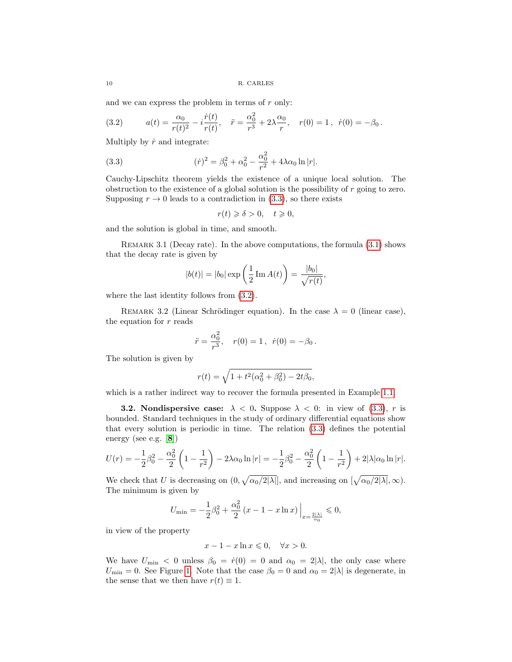and we can express the problem in terms of  $r$  only:

<span id="page-9-1"></span>(3.2) 
$$
a(t) = \frac{\alpha_0}{r(t)^2} - i \frac{\dot{r}(t)}{r(t)}, \quad \ddot{r} = \frac{\alpha_0^2}{r^3} + 2\lambda \frac{\alpha_0}{r}, \quad r(0) = 1, \quad \dot{r}(0) = -\beta_0.
$$

Multiply by  $\dot{r}$  and integrate:

(3.3) 
$$
(\dot{r})^2 = \beta_0^2 + \alpha_0^2 - \frac{\alpha_0^2}{r^2} + 4\lambda\alpha_0 \ln|r|.
$$

Cauchy-Lipschitz theorem yields the existence of a unique local solution. The obstruction to the existence of a global solution is the possibility of  $r$  going to zero. Supposing  $r \to 0$  leads to a contradiction in [\(3.3\)](#page-9-0), so there exists

<span id="page-9-0"></span>
$$
r(t) \geqslant \delta > 0, \quad t \geqslant 0,
$$

and the solution is global in time, and smooth.

REMARK 3.1 (Decay rate). In the above computations, the formula  $(3.1)$  shows that the decay rate is given by

$$
|b(t)| = |b_0| \exp\left(\frac{1}{2} \operatorname{Im} A(t)\right) = \frac{|b_0|}{\sqrt{r(t)}},
$$

where the last identity follows from  $(3.2)$ .

REMARK 3.2 (Linear Schrödinger equation). In the case  $\lambda = 0$  (linear case), the equation for  $r$  reads

$$
\ddot{r} = \frac{\alpha_0^2}{r^3}, \quad r(0) = 1, \ \dot{r}(0) = -\beta_0.
$$

The solution is given by

$$
r(t) = \sqrt{1 + t^2(\alpha_0^2 + \beta_0^2) - 2t\beta_0},
$$

which is a rather indirect way to recover the formula presented in Example [1.1.](#page-1-3)

**3.2.** Nondispersive case:  $\lambda < 0$ . Suppose  $\lambda < 0$ : in view of [\(3.3\)](#page-9-0), r is bounded. Standard techniques in the study of ordinary differential equations show that every solution is periodic in time. The relation [\(3.3\)](#page-9-0) defines the potential energy (see e.g. [[8](#page-27-5)])

$$
U(r) = -\frac{1}{2}\beta_0^2 - \frac{\alpha_0^2}{2}\left(1 - \frac{1}{r^2}\right) - 2\lambda\alpha_0 \ln|r| = -\frac{1}{2}\beta_0^2 - \frac{\alpha_0^2}{2}\left(1 - \frac{1}{r^2}\right) + 2|\lambda|\alpha_0 \ln|r|.
$$

We check that U is decreasing on  $(0, \sqrt{\alpha_0/2|\lambda|})$ , and increasing on  $[\sqrt{\alpha_0/2|\lambda|}, \infty)$ . The minimum is given by

$$
U_{\min}=-\frac{1}{2}\beta_0^2+\frac{\alpha_0^2}{2}\left(x-1-x\ln x\right)\Big|_{x=\frac{2|\lambda|}{\alpha_0}}\leqslant 0,
$$

in view of the property

$$
x - 1 - x \ln x \leqslant 0, \quad \forall x > 0.
$$

We have  $U_{\text{min}} < 0$  unless  $\beta_0 = \dot{r}(0) = 0$  and  $\alpha_0 = 2|\lambda|$ , the only case where  $U_{\text{min}} = 0$ . See Figure [1.](#page-10-0) Note that the case  $\beta_0 = 0$  and  $\alpha_0 = 2|\lambda|$  is degenerate, in the sense that we then have  $r(t) \equiv 1$ .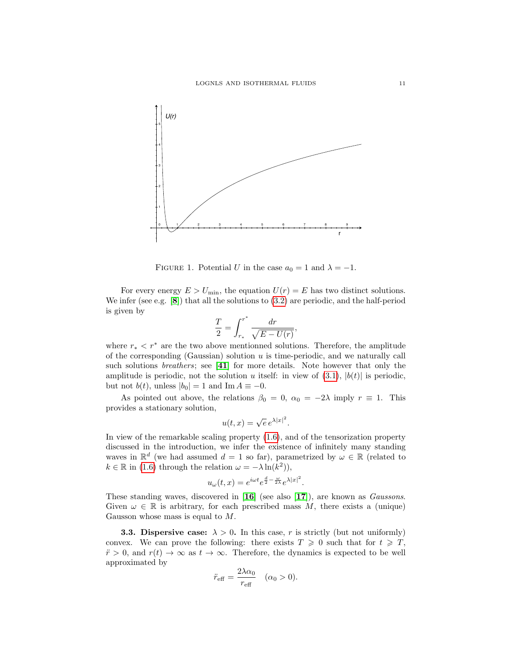

<span id="page-10-0"></span>FIGURE 1. Potential U in the case  $a_0 = 1$  and  $\lambda = -1$ .

For every energy  $E > U_{\text{min}}$ , the equation  $U(r) = E$  has two distinct solutions. We infer (see e.g. [[8](#page-27-5)]) that all the solutions to [\(3.2\)](#page-9-1) are periodic, and the half-period is given by

$$
\frac{T}{2}=\int_{r_*}^{r^*}\frac{dr}{\sqrt{E-U(r)}},
$$

where  $r_* < r^*$  are the two above mentionned solutions. Therefore, the amplitude of the corresponding (Gaussian) solution  $u$  is time-periodic, and we naturally call such solutions *breathers*; see [[41](#page-28-8)] for more details. Note however that only the amplitude is periodic, not the solution u itself: in view of  $(3.1)$ ,  $|b(t)|$  is periodic, but not  $b(t)$ , unless  $|b_0| = 1$  and Im  $A \equiv -0$ .

As pointed out above, the relations  $\beta_0 = 0$ ,  $\alpha_0 = -2\lambda$  imply  $r \equiv 1$ . This provides a stationary solution,

$$
u(t,x) = \sqrt{e} e^{\lambda |x|^2}.
$$

In view of the remarkable scaling property [\(1.6\)](#page-4-1), and of the tensorization property discussed in the introduction, we infer the existence of infinitely many standing waves in  $\mathbb{R}^d$  (we had assumed  $d = 1$  so far), parametrized by  $\omega \in \mathbb{R}$  (related to  $k \in \mathbb{R}$  in [\(1.6\)](#page-4-1) through the relation  $\omega = -\lambda \ln(k^2)$ ,

$$
u_{\omega}(t,x) = e^{i\omega t} e^{\frac{d}{2} - \frac{\omega}{2\lambda}} e^{\lambda |x|^2}.
$$

These standing waves, discovered in [[16](#page-27-2)] (see also [[17](#page-27-6)]), are known as *Gaussons*. Given  $\omega \in \mathbb{R}$  is arbitrary, for each prescribed mass M, there exists a (unique) Gausson whose mass is equal to M.

**3.3. Dispersive case:**  $\lambda > 0$ . In this case, r is strictly (but not uniformly) convex. We can prove the following: there exists  $T \geq 0$  such that for  $t \geq T$ ,  $\ddot{r} > 0$ , and  $r(t) \rightarrow \infty$  as  $t \rightarrow \infty$ . Therefore, the dynamics is expected to be well approximated by

$$
\ddot{r}_{\text{eff}} = \frac{2\lambda\alpha_0}{r_{\text{eff}}} \quad (\alpha_0 > 0).
$$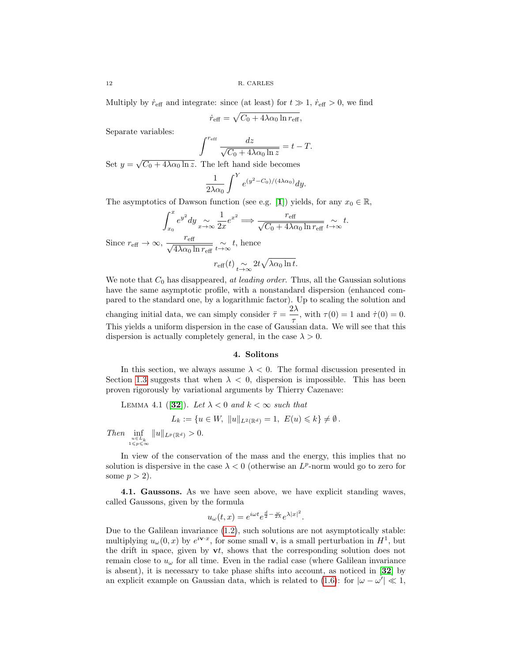12 R. CARLES

Multiply by  $\dot{r}_{\text{eff}}$  and integrate: since (at least) for  $t \gg 1$ ,  $\dot{r}_{\text{eff}} > 0$ , we find

$$
\dot{r}_{\text{eff}} = \sqrt{C_0 + 4\lambda \alpha_0 \ln r_{\text{eff}}},
$$

Separate variables:

$$
\int^{r_{\rm eff}} \frac{dz}{\sqrt{C_0 + 4\lambda \alpha_0 \ln z}} = t - T.
$$

Set  $y = \sqrt{C_0 + 4\lambda \alpha_0 \ln z}$ . The left hand side becomes

$$
\frac{1}{2\lambda\alpha_0}\int^Y e^{(y^2-C_0)/(4\lambda\alpha_0)}dy.
$$

The asymptotics of Dawson function (see e.g. [[1](#page-26-0)]) yields, for any  $x_0 \in \mathbb{R}$ ,

$$
\int_{x_0}^x e^{y^2} dy \underset{x \to \infty}{\sim} \frac{1}{2x} e^{x^2} \Longrightarrow \frac{r_{\text{eff}}}{\sqrt{C_0 + 4\lambda \alpha_0 \ln r_{\text{eff}}}} \underset{t \to \infty}{\sim} t.
$$
  
Since  $r_{\text{eff}} \to \infty$ ,  $\frac{r_{\text{eff}}}{\sqrt{4\lambda \alpha_0 \ln r_{\text{eff}}}} \underset{t \to \infty}{\sim} t$ , hence

$$
r_{\text{eff}}(t) \underset{t \to \infty}{\sim} 2t \sqrt{\lambda \alpha_0 \ln t}.
$$

We note that  $C_0$  has disappeared, at leading order. Thus, all the Gaussian solutions have the same asymptotic profile, with a nonstandard dispersion (enhanced compared to the standard one, by a logarithmic factor). Up to scaling the solution and changing initial data, we can simply consider  $\ddot{\tau} = \frac{2\lambda}{\tau}$  $\frac{d\mathcal{L}}{d\mathcal{L}}$ , with  $\tau(0) = 1$  and  $\dot{\tau}(0) = 0$ . This yields a uniform dispersion in the case of Gaussian data. We will see that this dispersion is actually completely general, in the case  $\lambda > 0$ .

## 4. Solitons

In this section, we always assume  $\lambda < 0$ . The formal discussion presented in Section [1.3](#page-3-1) suggests that when  $\lambda < 0$ , dispersion is impossible. This has been proven rigorously by variational arguments by Thierry Cazenave:

LEMMA 4.1 ([[32](#page-28-9)]). Let  $\lambda < 0$  and  $k < \infty$  such that

$$
L_k := \{ u \in W, \|u\|_{L^2(\mathbb{R}^d)} = 1, E(u) \leq k \} \neq \emptyset.
$$

Then  $\inf_{u \in L_k \atop 1 \leqslant p \leqslant \infty}$  $||u||_{L^p(\mathbb{R}^d)} > 0.$ 

In view of the conservation of the mass and the energy, this implies that no solution is dispersive in the case  $\lambda < 0$  (otherwise an  $L^p$ -norm would go to zero for some  $p > 2$ ).

4.1. Gaussons. As we have seen above, we have explicit standing waves, called Gaussons, given by the formula

$$
u_{\omega}(t,x) = e^{i\omega t} e^{\frac{d}{2} - \frac{\omega}{2\lambda}} e^{\lambda |x|^2}.
$$

Due to the Galilean invariance [\(1.2\)](#page-2-1), such solutions are not asymptotically stable: multiplying  $u_\omega(0, x)$  by  $e^{i\mathbf{v} \cdot x}$ , for some small **v**, is a small perturbation in  $H^1$ , but the drift in space, given by  $vt$ , shows that the corresponding solution does not remain close to  $u_{\omega}$  for all time. Even in the radial case (where Galilean invariance is absent), it is necessary to take phase shifts into account, as noticed in [[32](#page-28-9)] by an explicit example on Gaussian data, which is related to [\(1.6\)](#page-4-1): for  $|\omega - \omega'| \ll 1$ ,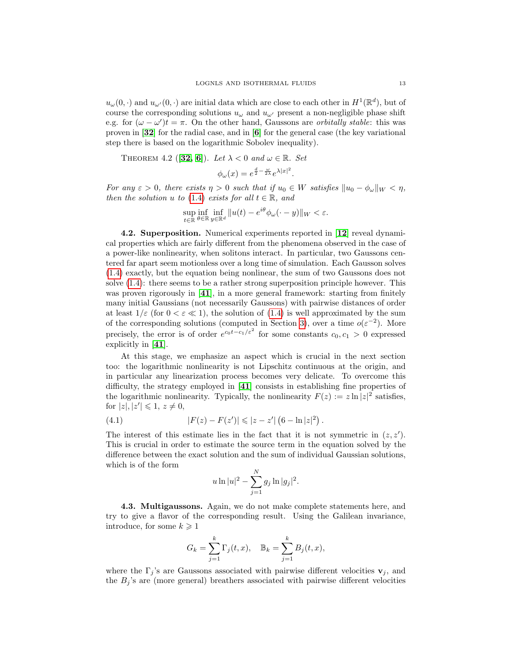$u_{\omega}(0, \cdot)$  and  $u_{\omega}(0, \cdot)$  are initial data which are close to each other in  $H^1(\mathbb{R}^d)$ , but of course the corresponding solutions  $u_{\omega}$  and  $u_{\omega'}$  present a non-negligible phase shift e.g. for  $(\omega - \omega')t = \pi$ . On the other hand, Gaussons are *orbitally stable*: this was proven in [[32](#page-28-9)] for the radial case, and in [[6](#page-27-7)] for the general case (the key variational step there is based on the logarithmic Sobolev inequality).

THEOREM 4.2 ([[32,](#page-28-9) [6](#page-27-7)]). Let  $\lambda < 0$  and  $\omega \in \mathbb{R}$ . Set

$$
\phi_{\omega}(x) = e^{\frac{d}{2} - \frac{\omega}{2\lambda}} e^{\lambda |x|^2}.
$$

For any  $\varepsilon > 0$ , there exists  $\eta > 0$  such that if  $u_0 \in W$  satisfies  $||u_0 - \phi_\omega||_W < \eta$ , then the solution u to [\(1.4\)](#page-3-0) exists for all  $t \in \mathbb{R}$ , and

$$
\sup_{t \in \mathbb{R}} \inf_{\theta \in \mathbb{R}} \inf_{y \in \mathbb{R}^d} \|u(t) - e^{i\theta} \phi_\omega(\cdot - y)\|_{W} < \varepsilon.
$$

4.2. Superposition. Numerical experiments reported in [[12](#page-27-8)] reveal dynamical properties which are fairly different from the phenomena observed in the case of a power-like nonlinearity, when solitons interact. In particular, two Gaussons centered far apart seem motionless over a long time of simulation. Each Gausson solves [\(1.4\)](#page-3-0) exactly, but the equation being nonlinear, the sum of two Gaussons does not solve [\(1.4\)](#page-3-0): there seems to be a rather strong superposition principle however. This was proven rigorously in [[41](#page-28-8)], in a more general framework: starting from finitely many initial Gaussians (not necessarily Gaussons) with pairwise distances of order at least  $1/\varepsilon$  (for  $0 < \varepsilon \ll 1$ ), the solution of [\(1.4\)](#page-3-0) is well approximated by the sum of the corresponding solutions (computed in Section [3\)](#page-8-1), over a time  $o(\varepsilon^{-2})$ . More precisely, the error is of order  $e^{c_0t-c_1/\varepsilon^2}$  for some constants  $c_0, c_1 > 0$  expressed explicitly in [[41](#page-28-8)].

At this stage, we emphasize an aspect which is crucial in the next section too: the logarithmic nonlinearity is not Lipschitz continuous at the origin, and in particular any linearization process becomes very delicate. To overcome this difficulty, the strategy employed in [[41](#page-28-8)] consists in establishing fine properties of the logarithmic nonlinearity. Typically, the nonlinearity  $F(z) := z \ln |z|^2$  satisfies, for  $|z|, |z'| \leq 1, z \neq 0$ ,

(4.1) 
$$
|F(z) - F(z')| \leq |z - z'| (6 - \ln |z|^2).
$$

The interest of this estimate lies in the fact that it is not symmetric in  $(z, z')$ . This is crucial in order to estimate the source term in the equation solved by the difference between the exact solution and the sum of individual Gaussian solutions, which is of the form

<span id="page-12-0"></span>
$$
u \ln |u|^2 - \sum_{j=1}^N g_j \ln |g_j|^2.
$$

4.3. Multigaussons. Again, we do not make complete statements here, and try to give a flavor of the corresponding result. Using the Galilean invariance, introduce, for some  $k \geqslant 1$ 

$$
G_k = \sum_{j=1}^k \Gamma_j(t, x), \quad \mathbb{B}_k = \sum_{j=1}^k B_j(t, x),
$$

where the  $\Gamma_j$ 's are Gaussons associated with pairwise different velocities  $\mathbf{v}_j$ , and the  $B_j$ 's are (more general) breathers associated with pairwise different velocities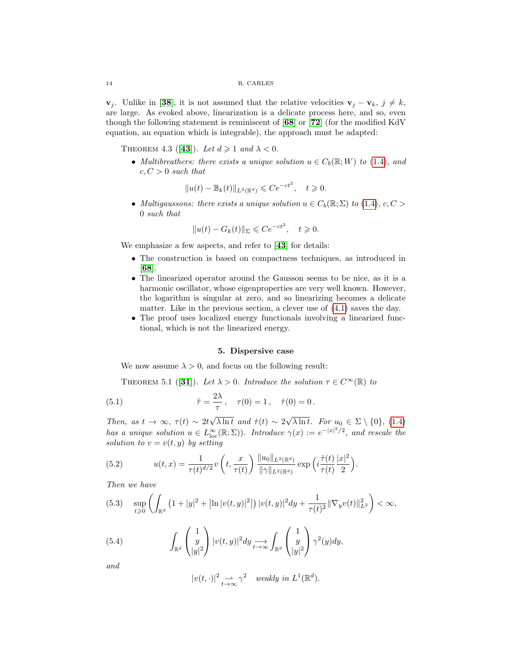$\mathbf{v}_i$ . Unlike in [[38](#page-28-10)], it is not assumed that the relative velocities  $\mathbf{v}_i - \mathbf{v}_k$ ,  $j \neq k$ , are large. As evoked above, linearization is a delicate process here, and so, even though the following statement is reminiscent of [[68](#page-29-1)] or [[72](#page-29-14)] (for the modified KdV equation, an equation which is integrable), the approach must be adapted:

THEOREM 4.3 ([[43](#page-28-11)]). Let  $d \geq 1$  and  $\lambda < 0$ .

• Multibreathers: there exists a unique solution  $u \in C_b(\mathbb{R}; W)$  to [\(1.4\)](#page-3-0), and  $c, C > 0$  such that

$$
||u(t) - \mathbb{B}_k(t)||_{L^2(\mathbb{R}^d)} \leqslant Ce^{-ct^2}, \quad t \geqslant 0.
$$

• Multigaussons: there exists a unique solution  $u \in C_b(\mathbb{R}; \Sigma)$  to [\(1.4\)](#page-3-0),  $c, C >$ 0 such that

$$
||u(t) - G_k(t)||_{\Sigma} \leqslant Ce^{-ct^2}, \quad t \geqslant 0.
$$

We emphasize a few aspects, and refer to [[43](#page-28-11)] for details:

- The construction is based on compactness techniques, as introduced in [[68](#page-29-1)].
- The linearized operator around the Gausson seems to be nice, as it is a harmonic oscillator, whose eigenproperties are very well known. However, the logarithm is singular at zero, and so linearizing becomes a delicate matter. Like in the previous section, a clever use of [\(4.1\)](#page-12-0) saves the day.
- The proof uses localized energy functionals involving a linearized functional, which is not the linearized energy.

## <span id="page-13-5"></span>5. Dispersive case

<span id="page-13-0"></span>We now assume  $\lambda > 0$ , and focus on the following result:

<span id="page-13-4"></span>THEOREM 5.1 ([[31](#page-28-5)]). Let  $\lambda > 0$ . Introduce the solution  $\tau \in C^{\infty}(\mathbb{R})$  to

(5.1) 
$$
\ddot{\tau} = \frac{2\lambda}{\tau}, \quad \tau(0) = 1, \quad \dot{\tau}(0) = 0.
$$

Then, as  $t \to \infty$ ,  $\tau(t) \sim 2t$ √  $\lambda \ln t$  and  $\dot{\tau}(t) \sim 2$ √  $\lambda \ln t$ . For  $u_0 \in \Sigma \setminus \{0\}$ , [\(1.4\)](#page-3-0) has a unique solution  $u \in L^{\infty}_{loc}(\mathbb{R}; \Sigma)$ ). Introduce  $\gamma(x) := e^{-|x|^2/2}$ , and rescale the solution to  $v = v(t, y)$  by setting

<span id="page-13-2"></span>(5.2) 
$$
u(t,x) = \frac{1}{\tau(t)^{d/2}} v\left(t, \frac{x}{\tau(t)}\right) \frac{\|u_0\|_{L^2(\mathbb{R}^d)}}{\|\gamma\|_{L^2(\mathbb{R}^d)}} \exp\left(i\frac{\dot{\tau}(t)}{\tau(t)}\frac{|x|^2}{2}\right).
$$

Then we have

<span id="page-13-1"></span>
$$
(5.3) \quad \sup_{t\geq 0} \left( \int_{\mathbb{R}^d} \left( 1 + |y|^2 + \left| \ln |v(t,y)|^2 \right| \right) |v(t,y)|^2 dy + \frac{1}{\tau(t)^2} \|\nabla_y v(t)\|_{L^2}^2 \right) < \infty,
$$

(5.4) 
$$
\int_{\mathbb{R}^d} \begin{pmatrix} 1 \\ y \\ |y|^2 \end{pmatrix} |v(t,y)|^2 dy \underset{t \to \infty}{\longrightarrow} \int_{\mathbb{R}^d} \begin{pmatrix} 1 \\ y \\ |y|^2 \end{pmatrix} \gamma^2(y) dy,
$$

and

<span id="page-13-3"></span>
$$
|v(t,\cdot)|^2 \underset{t\to\infty}{\rightharpoonup} \gamma^2 \quad weakly \ in \ L^1(\mathbb{R}^d).
$$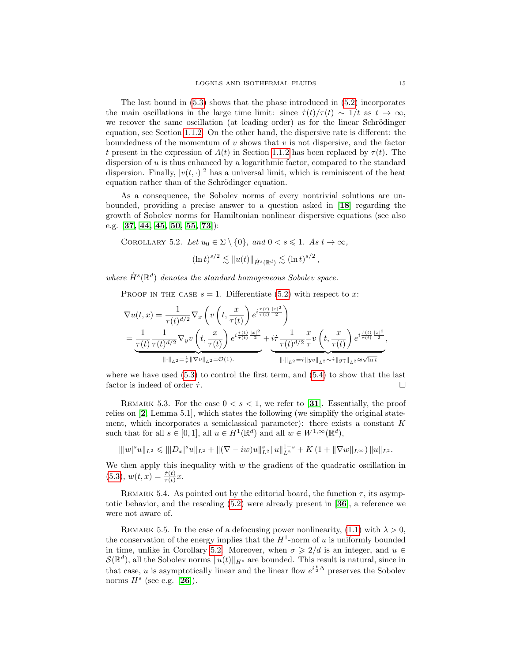The last bound in  $(5.3)$  shows that the phase introduced in  $(5.2)$  incorporates the main oscillations in the large time limit: since  $\dot{\tau}(t)/\tau(t) \sim 1/t$  as  $t \to \infty$ , we recover the same oscillation (at leading order) as for the linear Schrödinger equation, see Section [1.1.2.](#page-1-1) On the other hand, the dispersive rate is different: the boundedness of the momentum of  $v$  shows that  $v$  is not dispersive, and the factor t present in the expression of  $A(t)$  in Section [1.1.2](#page-1-1) has been replaced by  $\tau(t)$ . The dispersion of  $u$  is thus enhanced by a logarithmic factor, compared to the standard dispersion. Finally,  $|v(t, \cdot)|^2$  has a universal limit, which is reminiscent of the heat equation rather than of the Schrödinger equation.

As a consequence, the Sobolev norms of every nontrivial solutions are unbounded, providing a precise answer to a question asked in [[18](#page-27-9)] regarding the growth of Sobolev norms for Hamiltonian nonlinear dispersive equations (see also e.g. [[37,](#page-28-12) [44,](#page-28-13) [45,](#page-28-14) [50,](#page-28-15) [55,](#page-28-16) [73](#page-29-15)]):

<span id="page-14-0"></span>COROLLARY 5.2. Let 
$$
u_0 \in \Sigma \setminus \{0\}
$$
, and  $0 < s \leq 1$ . As  $t \to \infty$ ,

$$
(\ln t)^{s/2} \lesssim \|u(t)\|_{\dot{H}^s(\mathbb{R}^d)} \lesssim (\ln t)^{s/2},
$$

where  $\dot{H}^s(\mathbb{R}^d)$  denotes the standard homogeneous Sobolev space.

PROOF IN THE CASE  $s = 1$ . Differentiate [\(5.2\)](#page-13-2) with respect to x:

$$
\nabla u(t,x) = \frac{1}{\tau(t)^{d/2}} \nabla_x \left( v \left( t, \frac{x}{\tau(t)} \right) e^{i \frac{\tau(t)}{\tau(t)} \frac{|x|^2}{2}} \right)
$$
  
= 
$$
\frac{1}{\frac{\tau(t)}{\tau(t)} \tau(t)^{d/2}} \nabla_y v \left( t, \frac{x}{\tau(t)} \right) e^{i \frac{\tau(t)}{\tau(t)} \frac{|x|^2}{2}} + \underbrace{i \tau}{\tau(t)^{d/2}} \frac{1}{\tau} v \left( t, \frac{x}{\tau(t)} \right) e^{i \frac{\tau(t)}{\tau(t)} \frac{|x|^2}{2}},
$$
  

$$
\xrightarrow{\|\cdot\|_{L^2} = \frac{1}{\tau} \|\nabla_v\|_{L^2}} = O(1).
$$

where we have used  $(5.3)$  to control the first term, and  $(5.4)$  to show that the last factor is indeed of order  $\dot{\tau}$ .

REMARK 5.3. For the case  $0 < s < 1$ , we refer to [[31](#page-28-5)]. Essentially, the proof relies on [[2](#page-26-1), Lemma 5.1], which states the following (we simplify the original statement, which incorporates a semiclassical parameter): there exists a constant  $K$ such that for all  $s \in [0,1]$ , all  $u \in H^1(\mathbb{R}^d)$  and all  $w \in W^{1,\infty}(\mathbb{R}^d)$ ,

$$
\||w|^s u\|_{L^2} \leqslant |||D_x|^s u\|_{L^2} + ||(\nabla - i w)u||_{L^2}^s ||u||_{L^2}^{1-s} + K\left(1 + \|\nabla w\|_{L^\infty}\right) ||u||_{L^2}.
$$

We then apply this inequality with  $w$  the gradient of the quadratic oscillation in  $(5.3), w(t,x) = \frac{\dot{\tau}(t)}{\tau(t)}x.$  $(5.3), w(t,x) = \frac{\dot{\tau}(t)}{\tau(t)}x.$ 

REMARK 5.4. As pointed out by the editorial board, the function  $\tau$ , its asymptotic behavior, and the rescaling [\(5.2\)](#page-13-2) were already present in [[36](#page-28-17)], a reference we were not aware of.

REMARK 5.5. In the case of a defocusing power nonlinearity, [\(1.1\)](#page-1-0) with  $\lambda > 0$ , the conservation of the energy implies that the  $H^1$ -norm of u is uniformly bounded in time, unlike in Corollary [5.2.](#page-14-0) Moreover, when  $\sigma \geq 2/d$  is an integer, and  $u \in$  $\mathcal{S}(\mathbb{R}^d)$ , all the Sobolev norms  $||u(t)||_{H^s}$  are bounded. This result is natural, since in that case, u is asymptotically linear and the linear flow  $e^{i\frac{t}{2}\Delta}$  preserves the Sobolev norms  $H^s$  (see e.g. [[26](#page-27-10)]).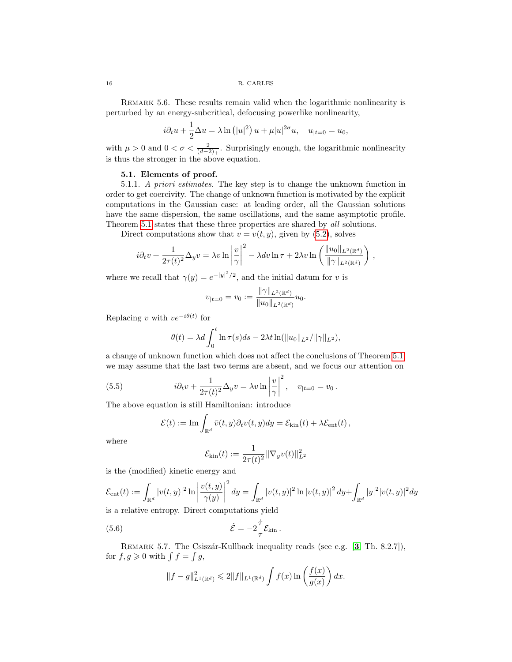<span id="page-15-1"></span>REMARK 5.6. These results remain valid when the logarithmic nonlinearity is perturbed by an energy-subcritical, defocusing powerlike nonlinearity,

$$
i\partial_t u + \frac{1}{2}\Delta u = \lambda \ln(|u|^2) u + \mu |u|^{2\sigma} u, \quad u_{|t=0} = u_0,
$$

with  $\mu > 0$  and  $0 < \sigma < \frac{2}{(d-2)_+}$ . Surprisingly enough, the logarithmic nonlinearity is thus the stronger in the above equation.

## 5.1. Elements of proof.

<span id="page-15-2"></span>5.1.1. A priori estimates. The key step is to change the unknown function in order to get coercivity. The change of unknown function is motivated by the explicit computations in the Gaussian case: at leading order, all the Gaussian solutions have the same dispersion, the same oscillations, and the same asymptotic profile. Theorem [5.1](#page-13-4) states that these three properties are shared by all solutions.

Direct computations show that  $v = v(t, y)$ , given by [\(5.2\)](#page-13-2), solves

$$
i\partial_t v + \frac{1}{2\tau(t)^2} \Delta_y v = \lambda v \ln \left| \frac{v}{\gamma} \right|^2 - \lambda dv \ln \tau + 2\lambda v \ln \left( \frac{\|u_0\|_{L^2(\mathbb{R}^d)}}{\|\gamma\|_{L^2(\mathbb{R}^d)}} \right),
$$

where we recall that  $\gamma(y) = e^{-|y|^2/2}$ , and the initial datum for v is

$$
v_{|t=0} = v_0 := \frac{\|\gamma\|_{L^2(\mathbb{R}^d)}}{\|u_0\|_{L^2(\mathbb{R}^d)}} u_0.
$$

Replacing v with  $ve^{-i\theta(t)}$  for

$$
\theta(t) = \lambda d \int_0^t \ln \tau(s) ds - 2\lambda t \ln(\|u_0\|_{L^2}/\|\gamma\|_{L^2}),
$$

a change of unknown function which does not affect the conclusions of Theorem [5.1,](#page-13-4) we may assume that the last two terms are absent, and we focus our attention on

(5.5) 
$$
i\partial_t v + \frac{1}{2\tau(t)^2} \Delta_y v = \lambda v \ln \left| \frac{v}{\gamma} \right|^2, \quad v_{|t=0} = v_0.
$$

The above equation is still Hamiltonian: introduce

<span id="page-15-0"></span>
$$
\mathcal{E}(t) := \mathrm{Im} \int_{\mathbb{R}^d} \bar{v}(t, y) \partial_t v(t, y) dy = \mathcal{E}_{\mathrm{kin}}(t) + \lambda \mathcal{E}_{\mathrm{ent}}(t),
$$

where

$$
\mathcal{E}_{\rm kin}(t) := \frac{1}{2\tau(t)^2} \|\nabla_y v(t)\|_{L^2}^2
$$

is the (modified) kinetic energy and

$$
\mathcal{E}_{\rm ent}(t) := \int_{\mathbb{R}^d} |v(t,y)|^2 \ln \left| \frac{v(t,y)}{\gamma(y)} \right|^2 dy = \int_{\mathbb{R}^d} |v(t,y)|^2 \ln |v(t,y)|^2 dy + \int_{\mathbb{R}^d} |y|^2 |v(t,y)|^2 dy
$$

is a relative entropy. Direct computations yield

(5.6) 
$$
\dot{\mathcal{E}} = -2\frac{\dot{\tau}}{\tau}\mathcal{E}_{\text{kin}}.
$$

REMARK 5.7. The Csiszár-Kullback inequality reads (see e.g. [[3](#page-26-2), Th. 8.2.7]), for  $f, g \geqslant 0$  with  $\int f = \int g$ ,

$$
||f - g||_{L^{1}(\mathbb{R}^{d})}^{2} \leq 2||f||_{L^{1}(\mathbb{R}^{d})} \int f(x) \ln \left( \frac{f(x)}{g(x)} \right) dx.
$$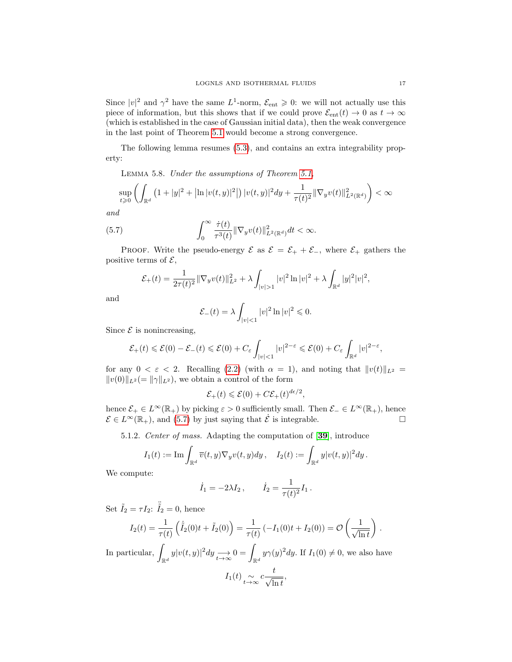Since  $|v|^2$  and  $\gamma^2$  have the same  $L^1$ -norm,  $\mathcal{E}_{ent} \geq 0$ : we will not actually use this piece of information, but this shows that if we could prove  $\mathcal{E}_{ent}(t) \to 0$  as  $t \to \infty$ (which is established in the case of Gaussian initial data), then the weak convergence in the last point of Theorem [5.1](#page-13-4) would become a strong convergence.

The following lemma resumes [\(5.3\)](#page-13-1), and contains an extra integrability property:

<span id="page-16-1"></span>Lemma 5.8. Under the assumptions of Theorem [5.1,](#page-13-4)

$$
\sup_{t\geqslant 0}\left(\int_{\mathbb{R}^d}\left(1+|y|^2+ \left|\ln |v(t,y)|^2\right|\right)|v(t,y)|^2dy+\frac{1}{\tau(t)^2}\|\nabla_yv(t)\|_{L^2(\mathbb{R}^d)}^2\right)<\infty
$$

and

(5.7) 
$$
\int_0^\infty \frac{\dot{\tau}(t)}{\tau^3(t)} \|\nabla_y v(t)\|_{L^2(\mathbb{R}^d)}^2 dt < \infty.
$$

PROOF. Write the pseudo-energy  $\mathcal E$  as  $\mathcal E = \mathcal E_+ + \mathcal E_-,$  where  $\mathcal E_+$  gathers the positive terms of  $\mathcal{E}$ ,

<span id="page-16-0"></span>
$$
\mathcal{E}_+(t) = \frac{1}{2\tau(t)^2} \|\nabla_y v(t)\|_{L^2}^2 + \lambda \int_{|v|>1} |v|^2 \ln |v|^2 + \lambda \int_{\mathbb{R}^d} |y|^2 |v|^2,
$$

and

$$
\mathcal{E}_-(t) = \lambda \int_{|v| < 1} |v|^2 \ln |v|^2 \leq 0.
$$

Since  $\mathcal E$  is nonincreasing,

$$
\mathcal{E}_+(t) \leqslant \mathcal{E}(0) - \mathcal{E}_-(t) \leqslant \mathcal{E}(0) + C_{\varepsilon} \int_{|v| < 1} |v|^{2-\varepsilon} \leqslant \mathcal{E}(0) + C_{\varepsilon} \int_{\mathbb{R}^d} |v|^{2-\varepsilon},
$$

for any  $0 < \varepsilon < 2$ . Recalling [\(2.2\)](#page-7-0) (with  $\alpha = 1$ ), and noting that  $||v(t)||_{L^2} =$  $||v(0)||_{L^2} = ||\gamma||_{L^2}$ , we obtain a control of the form

$$
\mathcal{E}_+(t) \leqslant \mathcal{E}(0) + C\mathcal{E}_+(t)^{d\epsilon/2},
$$

hence  $\mathcal{E}_+ \in L^{\infty}(\mathbb{R}_+)$  by picking  $\varepsilon > 0$  sufficiently small. Then  $\mathcal{E}_- \in L^{\infty}(\mathbb{R}_+)$ , hence  $\mathcal{E} \in L^{\infty}(\mathbb{R}_{+})$ , and [\(5.7\)](#page-16-0) by just saying that  $\dot{\mathcal{E}}$  is integrable.

5.1.2. Center of mass. Adapting the computation of [[39](#page-28-18)], introduce

$$
I_1(t) := \operatorname{Im} \int_{\mathbb{R}^d} \overline{v}(t, y) \nabla_y v(t, y) dy, \quad I_2(t) := \int_{\mathbb{R}^d} y |v(t, y)|^2 dy.
$$

We compute:

$$
\dot{I}_1 = -2\lambda I_2
$$
,  $\dot{I}_2 = \frac{1}{\tau(t)^2} I_1$ .

Set  $\tilde{I}_2 = \tau I_2$ :  $\ddot{\tilde{I}}_2 = 0$ , hence

$$
I_2(t) = \frac{1}{\tau(t)} \left( \dot{\tilde{I}}_2(0)t + \tilde{I}_2(0) \right) = \frac{1}{\tau(t)} \left( -I_1(0)t + I_2(0) \right) = \mathcal{O}\left(\frac{1}{\sqrt{\ln t}}\right).
$$

In particular,  $\int_{\mathbb{R}^d} y |v(t,y)|^2 dy \longrightarrow_{t \to \infty} 0 = \int_{\mathbb{R}^d} y \gamma(y)^2 dy$ . If  $I_1(0) \neq 0$ , we also have  $I_1(t) \underset{t\to\infty}{\sim} c \frac{t}{\sqrt{\ln t}}$  $\ln t$ ,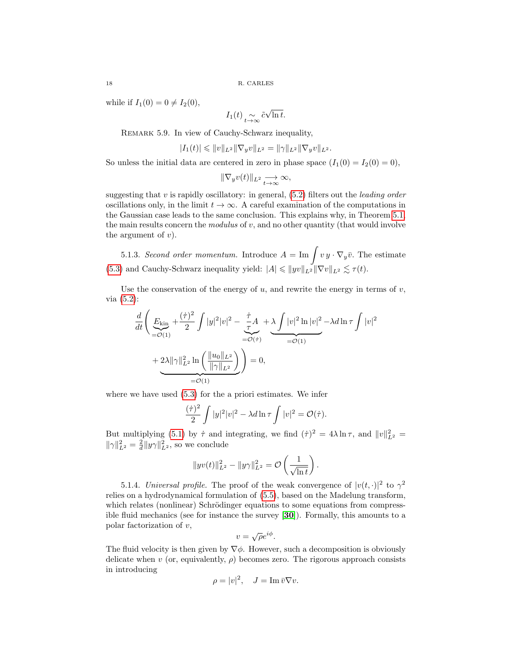while if  $I_1(0) = 0 \neq I_2(0)$ ,

$$
I_1(t) \underset{t \to \infty}{\sim} \tilde{c} \sqrt{\ln t}.
$$

Remark 5.9. In view of Cauchy-Schwarz inequality,

$$
|I_1(t)| \leqslant ||v||_{L^2} ||\nabla_y v||_{L^2} = ||\gamma||_{L^2} ||\nabla_y v||_{L^2}.
$$

So unless the initial data are centered in zero in phase space  $(I_1(0) = I_2(0) = 0)$ ,

$$
\|\nabla_y v(t)\|_{L^2} \underset{t \to \infty}{\longrightarrow} \infty,
$$

suggesting that  $v$  is rapidly oscillatory: in general,  $(5.2)$  filters out the *leading order* oscillations only, in the limit  $t \to \infty$ . A careful examination of the computations in the Gaussian case leads to the same conclusion. This explains why, in Theorem [5.1,](#page-13-4) the main results concern the modulus of v, and no other quantity (that would involve the argument of  $v$ ).

5.1.3. Second order momentum. Introduce  $A = \text{Im}\int v\,y \cdot \nabla_y\bar{v}$ . The estimate [\(5.3\)](#page-13-1) and Cauchy-Schwarz inequality yield:  $|A| \leq ||yv||_{L^2} ||\nabla v||_{L^2} \lesssim \tau(t)$ .

Use the conservation of the energy of  $u$ , and rewrite the energy in terms of  $v$ , via [\(5.2\)](#page-13-2):

$$
\frac{d}{dt}\left(\underbrace{E_{\text{kin}}}_{=\mathcal{O}(1)} + \frac{(\dot{\tau})^2}{2}\int |y|^2|v|^2 - \underbrace{\frac{\dot{\tau}}{\tau}A}_{=\mathcal{O}(\dot{\tau})} + \underbrace{2\lambda \|\gamma\|_{L^2}^2 \ln\left(\frac{\|u_0\|_{L^2}}{\|\gamma\|_{L^2}}\right)}_{=\mathcal{O}(1)}\right) = 0,
$$

where we have used [\(5.3\)](#page-13-1) for the a priori estimates. We infer

$$
\frac{(\dot{\tau})^2}{2} \int |y|^2 |v|^2 - \lambda d \ln \tau \int |v|^2 = \mathcal{O}(\dot{\tau}).
$$

But multiplying [\(5.1\)](#page-13-5) by  $\dot{\tau}$  and integrating, we find  $(\dot{\tau})^2 = 4\lambda \ln \tau$ , and  $||v||_{L^2}^2 =$  $\|\gamma\|_{L^2}^2 = \frac{2}{d} \|y\gamma\|_{L^2}^2$ , so we conclude

$$
||y v(t)||_{L^2}^2 - ||y \gamma||_{L^2}^2 = \mathcal{O}\left(\frac{1}{\sqrt{\ln t}}\right).
$$

<span id="page-17-0"></span>5.1.4. Universal profile. The proof of the weak convergence of  $|v(t, \cdot)|^2$  to  $\gamma^2$ relies on a hydrodynamical formulation of [\(5.5\)](#page-15-0), based on the Madelung transform, which relates (nonlinear) Schrödinger equations to some equations from compressible fluid mechanics (see for instance the survey [[30](#page-28-19)]). Formally, this amounts to a polar factorization of  $v$ , √

$$
v = \sqrt{\rho}e^{i\phi}.
$$

The fluid velocity is then given by  $\nabla \phi$ . However, such a decomposition is obviously delicate when v (or, equivalently,  $\rho$ ) becomes zero. The rigorous approach consists in introducing

$$
\rho = |v|^2, \quad J = \operatorname{Im} \bar{v} \nabla v.
$$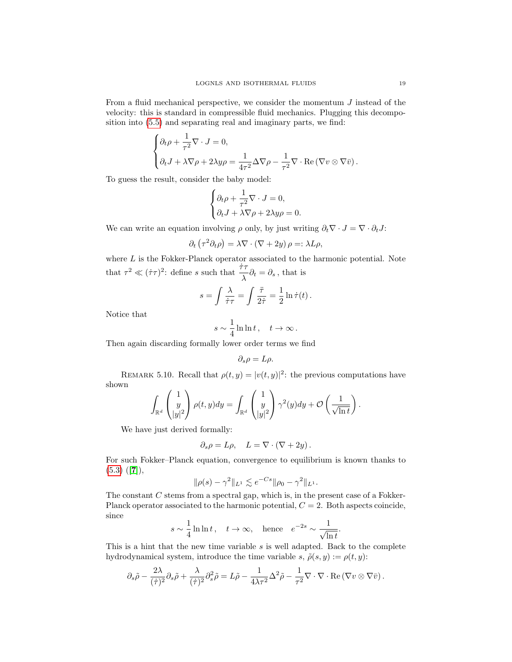From a fluid mechanical perspective, we consider the momentum J instead of the velocity: this is standard in compressible fluid mechanics. Plugging this decomposition into [\(5.5\)](#page-15-0) and separating real and imaginary parts, we find:

$$
\begin{cases} \partial_t \rho + \frac{1}{\tau^2} \nabla \cdot J = 0, \\ \partial_t J + \lambda \nabla \rho + 2\lambda y \rho = \frac{1}{4\tau^2} \Delta \nabla \rho - \frac{1}{\tau^2} \nabla \cdot \text{Re} (\nabla v \otimes \nabla \bar{v}). \end{cases}
$$

To guess the result, consider the baby model:

$$
\begin{cases} \partial_t \rho + \frac{1}{\tau^2} \nabla \cdot J = 0, \\ \partial_t J + \lambda \nabla \rho + 2\lambda y \rho = 0. \end{cases}
$$

We can write an equation involving  $\rho$  only, by just writing  $\partial_t \nabla \cdot J = \nabla \cdot \partial_t J$ :

$$
\partial_t \left( \tau^2 \partial_t \rho \right) = \lambda \nabla \cdot \left( \nabla + 2y \right) \rho =: \lambda L \rho,
$$

where  $L$  is the Fokker-Planck operator associated to the harmonic potential. Note that  $\tau^2 \ll (\dot{\tau}\tau)^2$ : define s such that  $\frac{\dot{\tau}\tau}{\lambda} \partial_t = \partial_s$ , that is

$$
s = \int \frac{\lambda}{\dot{\tau}\tau} = \int \frac{\ddot{\tau}}{2\dot{\tau}} = \frac{1}{2}\ln \dot{\tau}(t).
$$

Notice that

$$
s\sim\frac{1}{4}\ln\ln t\,,\quad t\to\infty\,.
$$

Then again discarding formally lower order terms we find

$$
\partial_s \rho = L \rho.
$$

REMARK 5.10. Recall that  $\rho(t, y) = |v(t, y)|^2$ : the previous computations have shown

$$
\int_{\mathbb{R}^d} \begin{pmatrix} 1 \\ y \\ |y|^2 \end{pmatrix} \rho(t, y) dy = \int_{\mathbb{R}^d} \begin{pmatrix} 1 \\ y \\ |y|^2 \end{pmatrix} \gamma^2(y) dy + \mathcal{O}\left(\frac{1}{\sqrt{\ln t}}\right).
$$

We have just derived formally:

$$
\partial_s \rho = L\rho, \quad L = \nabla \cdot (\nabla + 2y).
$$

For such Fokker–Planck equation, convergence to equilibrium is known thanks to  $(5.3)$   $([7]),$  $([7]),$  $([7]),$ 

$$
\|\rho(s) - \gamma^2\|_{L^1} \lesssim e^{-Cs} \|\rho_0 - \gamma^2\|_{L^1}.
$$

The constant C stems from a spectral gap, which is, in the present case of a Fokker-Planck operator associated to the harmonic potential,  $C = 2$ . Both aspects coincide, since

$$
s \sim \frac{1}{4} \ln \ln t
$$
,  $t \to \infty$ , hence  $e^{-2s} \sim \frac{1}{\sqrt{\ln t}}$ .

This is a hint that the new time variable  $s$  is well adapted. Back to the complete hydrodynamical system, introduce the time variable s,  $\tilde{\rho}(s, y) := \rho(t, y)$ :

$$
\partial_s \tilde{\rho} - \frac{2\lambda}{(\dot{\tau})^2} \partial_s \tilde{\rho} + \frac{\lambda}{(\dot{\tau})^2} \partial_s^2 \tilde{\rho} = L \tilde{\rho} - \frac{1}{4\lambda \tau^2} \Delta^2 \tilde{\rho} - \frac{1}{\tau^2} \nabla \cdot \nabla \cdot \text{Re} (\nabla v \otimes \nabla \bar{v}).
$$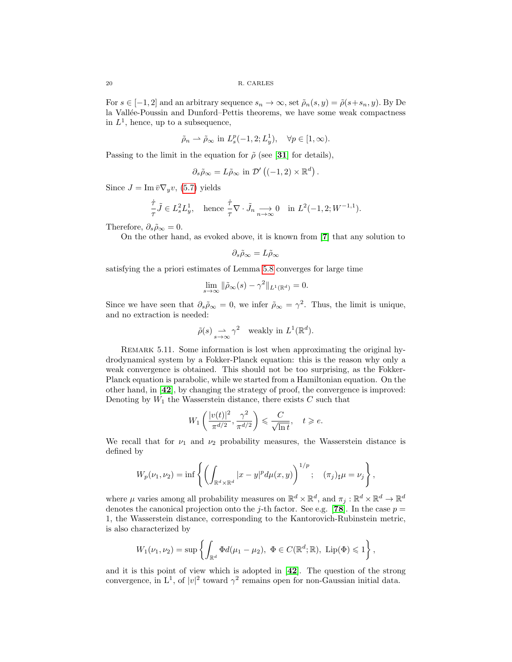For  $s \in [-1, 2]$  and an arbitrary sequence  $s_n \to \infty$ , set  $\tilde{\rho}_n(s, y) = \tilde{\rho}(s + s_n, y)$ . By De la Vallée-Poussin and Dunford–Pettis theorems, we have some weak compactness in  $L^1$ , hence, up to a subsequence,

$$
\tilde{\rho}_n \rightharpoonup \tilde{\rho}_{\infty}
$$
 in  $L_s^p(-1, 2; L_y^1)$ ,  $\forall p \in [1, \infty)$ .

Passing to the limit in the equation for  $\tilde{\rho}$  (see [[31](#page-28-5)] for details),

$$
\partial_s \tilde{\rho}_{\infty} = L \tilde{\rho}_{\infty} \text{ in } \mathcal{D}' ((-1,2) \times \mathbb{R}^d) .
$$

Since  $J = \text{Im } \bar{v} \nabla_y v$ , [\(5.7\)](#page-16-0) yields

$$
\frac{\dot{\tau}}{\tau}\tilde{J} \in L_s^2 L_y^1, \quad \text{hence } \frac{\dot{\tau}}{\tau} \nabla \cdot \tilde{J}_n \xrightarrow[n \to \infty]{} 0 \quad \text{in } L^2(-1, 2; W^{-1, 1}).
$$

Therefore,  $\partial_s \tilde{\rho}_{\infty} = 0$ .

On the other hand, as evoked above, it is known from [[7](#page-27-11)] that any solution to

$$
\partial_s \tilde{\rho}_\infty = L \tilde{\rho}_\infty
$$

satisfying the a priori estimates of Lemma [5.8](#page-16-1) converges for large time

$$
\lim_{s \to \infty} \|\tilde{\rho}_{\infty}(s) - \gamma^2\|_{L^1(\mathbb{R}^d)} = 0.
$$

Since we have seen that  $\partial_s \tilde{\rho}_{\infty} = 0$ , we infer  $\tilde{\rho}_{\infty} = \gamma^2$ . Thus, the limit is unique, and no extraction is needed:

$$
\tilde{\rho}(s) \underset{s \to \infty}{\longrightarrow} \gamma^2
$$
 weakly in  $L^1(\mathbb{R}^d)$ .

REMARK 5.11. Some information is lost when approximating the original hydrodynamical system by a Fokker-Planck equation: this is the reason why only a weak convergence is obtained. This should not be too surprising, as the Fokker-Planck equation is parabolic, while we started from a Hamiltonian equation. On the other hand, in [[42](#page-28-20)], by changing the strategy of proof, the convergence is improved: Denoting by  $W_1$  the Wasserstein distance, there exists  $C$  such that

$$
W_1\left(\frac{|v(t)|^2}{\pi^{d/2}}, \frac{\gamma^2}{\pi^{d/2}}\right) \leqslant \frac{C}{\sqrt{\ln t}}, \quad t \geqslant e.
$$

We recall that for  $\nu_1$  and  $\nu_2$  probability measures, the Wasserstein distance is defined by

$$
W_p(\nu_1, \nu_2) = \inf \left\{ \left( \int_{\mathbb{R}^d \times \mathbb{R}^d} |x - y|^p d\mu(x, y) \right)^{1/p}; \quad (\pi_j)_{\sharp} \mu = \nu_j \right\},
$$

where  $\mu$  varies among all probability measures on  $\mathbb{R}^d \times \mathbb{R}^d$ , and  $\pi_j : \mathbb{R}^d \times \mathbb{R}^d \to \mathbb{R}^d$ denotes the canonical projection onto the j-th factor. See e.g. [[78](#page-29-16)]. In the case  $p =$ 1, the Wasserstein distance, corresponding to the Kantorovich-Rubinstein metric, is also characterized by

$$
W_1(\nu_1,\nu_2)=\sup\left\{\int_{\mathbb{R}^d}\Phi d(\mu_1-\mu_2),\ \Phi\in C(\mathbb{R}^d;\mathbb{R}),\ \operatorname{Lip}(\Phi)\leqslant 1\right\},\
$$

and it is this point of view which is adopted in [[42](#page-28-20)]. The question of the strong convergence, in  $L^1$ , of  $|v|^2$  toward  $\gamma^2$  remains open for non-Gaussian initial data.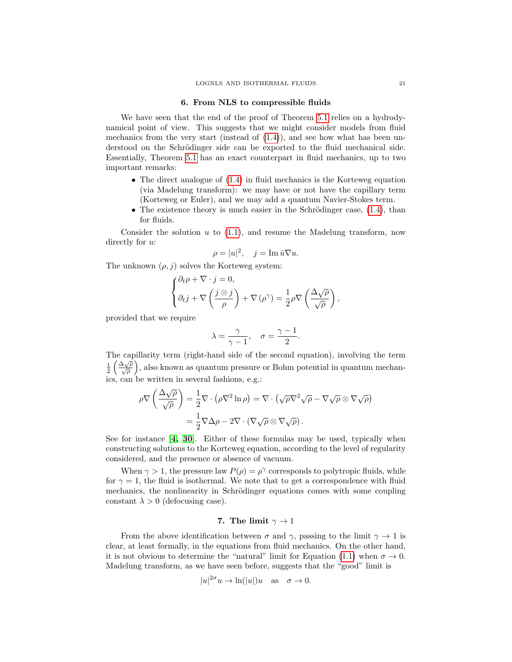## 6. From NLS to compressible fluids

<span id="page-20-1"></span>We have seen that the end of the proof of Theorem [5.1](#page-13-4) relies on a hydrodynamical point of view. This suggests that we might consider models from fluid mechanics from the very start (instead of  $(1.4)$ ), and see how what has been understood on the Schrödinger side can be exported to the fluid mechanical side. Essentially, Theorem [5.1](#page-13-4) has an exact counterpart in fluid mechanics, up to two important remarks:

- The direct analogue of  $(1.4)$  in fluid mechanics is the Korteweg equation (via Madelung transform): we may have or not have the capillary term (Korteweg or Euler), and we may add a quantum Navier-Stokes term.
- The existence theory is much easier in the Schrödinger case,  $(1.4)$ , than for fluids.

Consider the solution  $u$  to  $(1.1)$ , and resume the Madelung transform, now directly for  $u$ :

$$
\rho = |u|^2, \quad j = \operatorname{Im} \bar{u} \nabla u.
$$

The unknown  $(\rho, j)$  solves the Korteweg system:

$$
\begin{cases} \partial_t \rho + \nabla \cdot j = 0, \\ \partial_t j + \nabla \left( \frac{j \otimes j}{\rho} \right) + \nabla (\rho^{\gamma}) = \frac{1}{2} \rho \nabla \left( \frac{\Delta \sqrt{\rho}}{\sqrt{\rho}} \right), \end{cases}
$$

provided that we require

$$
\lambda = \frac{\gamma}{\gamma - 1}, \quad \sigma = \frac{\gamma - 1}{2}.
$$

The capillarity term (right-hand side of the second equation), involving the term  $\frac{1}{2}$   $\left(\frac{\Delta\sqrt{\rho}}{\sqrt{\rho}}\right)$  $\frac{\Delta \sqrt{\rho}}{\sqrt{\rho}}$ , also known as quantum pressure or Bohm potential in quantum mechanics, can be written in several fashions, e.g.:

$$
\rho \nabla \left( \frac{\Delta \sqrt{\rho}}{\sqrt{\rho}} \right) = \frac{1}{2} \nabla \cdot (\rho \nabla^2 \ln \rho) = \nabla \cdot (\sqrt{\rho} \nabla^2 \sqrt{\rho} - \nabla \sqrt{\rho} \otimes \nabla \sqrt{\rho})
$$

$$
= \frac{1}{2} \nabla \Delta \rho - 2 \nabla \cdot (\nabla \sqrt{\rho} \otimes \nabla \sqrt{\rho}).
$$

See for instance  $\mathbf{[4, 30]}$  $\mathbf{[4, 30]}$  $\mathbf{[4, 30]}$  $\mathbf{[4, 30]}$ . Either of these formulas may be used, typically when constructing solutions to the Korteweg equation, according to the level of regularity considered, and the presence or absence of vacuum.

When  $\gamma > 1$ , the pressure law  $P(\rho) = \rho^{\gamma}$  corresponds to polytropic fluids, while for  $\gamma = 1$ , the fluid is isothermal. We note that to get a correspondence with fluid mechanics, the nonlinearity in Schrödinger equations comes with some coupling constant  $\lambda > 0$  (defocusing case).

# 7. The limit  $\gamma \rightarrow 1$

<span id="page-20-0"></span>From the above identification between  $\sigma$  and  $\gamma$ , passing to the limit  $\gamma \to 1$  is clear, at least formally, in the equations from fluid mechanics. On the other hand, it is not obvious to determine the "natural" limit for Equation [\(1.1\)](#page-1-0) when  $\sigma \to 0$ . Madelung transform, as we have seen before, suggests that the "good" limit is

$$
|u|^{2\sigma}u \to \ln(|u|)u \quad \text{as} \quad \sigma \to 0.
$$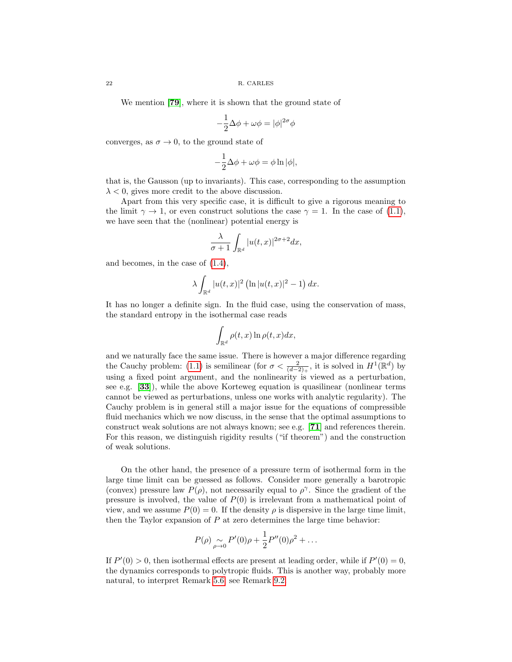We mention [[79](#page-29-17)], where it is shown that the ground state of

$$
-\frac{1}{2}\Delta\phi + \omega\phi = |\phi|^{2\sigma}\phi
$$

converges, as  $\sigma \to 0$ , to the ground state of

$$
-\frac{1}{2}\Delta\phi + \omega\phi = \phi \ln|\phi|,
$$

that is, the Gausson (up to invariants). This case, corresponding to the assumption  $\lambda < 0$ , gives more credit to the above discussion.

Apart from this very specific case, it is difficult to give a rigorous meaning to the limit  $\gamma \to 1$ , or even construct solutions the case  $\gamma = 1$ . In the case of [\(1.1\)](#page-1-0), we have seen that the (nonlinear) potential energy is

$$
\frac{\lambda}{\sigma+1} \int_{\mathbb{R}^d} |u(t,x)|^{2\sigma+2} dx,
$$

and becomes, in the case of [\(1.4\)](#page-3-0),

$$
\lambda \int_{\mathbb{R}^d} |u(t,x)|^2 \left(\ln |u(t,x)|^2 - 1\right) dx.
$$

It has no longer a definite sign. In the fluid case, using the conservation of mass, the standard entropy in the isothermal case reads

$$
\int_{\mathbb{R}^d} \rho(t,x) \ln \rho(t,x) dx,
$$

and we naturally face the same issue. There is however a major difference regarding the Cauchy problem: [\(1.1\)](#page-1-0) is semilinear (for  $\sigma < \frac{2}{(d-2)_+}$ , it is solved in  $H^1(\mathbb{R}^d)$  by using a fixed point argument, and the nonlinearity is viewed as a perturbation, see e.g. [[33](#page-28-0)]), while the above Korteweg equation is quasilinear (nonlinear terms cannot be viewed as perturbations, unless one works with analytic regularity). The Cauchy problem is in general still a major issue for the equations of compressible fluid mechanics which we now discuss, in the sense that the optimal assumptions to construct weak solutions are not always known; see e.g. [[71](#page-29-18)] and references therein. For this reason, we distinguish rigidity results ("if theorem") and the construction of weak solutions.

On the other hand, the presence of a pressure term of isothermal form in the large time limit can be guessed as follows. Consider more generally a barotropic (convex) pressure law  $P(\rho)$ , not necessarily equal to  $\rho^{\gamma}$ . Since the gradient of the pressure is involved, the value of  $P(0)$  is irrelevant from a mathematical point of view, and we assume  $P(0) = 0$ . If the density  $\rho$  is dispersive in the large time limit, then the Taylor expansion of  $P$  at zero determines the large time behavior:

$$
P(\rho) \sum_{\rho \to 0} P'(0)\rho + \frac{1}{2}P''(0)\rho^2 + \dots
$$

If  $P'(0) > 0$ , then isothermal effects are present at leading order, while if  $P'(0) = 0$ , the dynamics corresponds to polytropic fluids. This is another way, probably more natural, to interpret Remark [5.6;](#page-15-1) see Remark [9.2.](#page-24-0)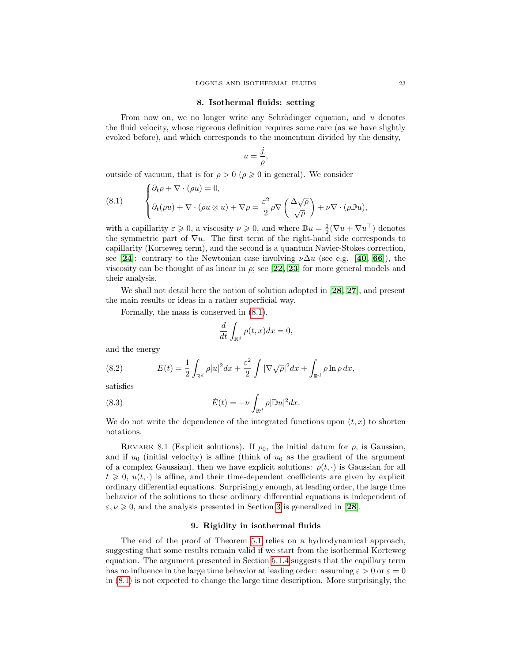#### 8. Isothermal fluids: setting

From now on, we no longer write any Schrödinger equation, and  $u$  denotes the fluid velocity, whose rigorous definition requires some care (as we have slightly evoked before), and which corresponds to the momentum divided by the density,

$$
u=\frac{j}{\rho},
$$

outside of vacuum, that is for  $\rho > 0$  ( $\rho \ge 0$  in general). We consider

<span id="page-22-0"></span>(8.1) 
$$
\begin{cases} \partial_t \rho + \nabla \cdot (\rho u) = 0, \\ \partial_t (\rho u) + \nabla \cdot (\rho u \otimes u) + \nabla \rho = \frac{\varepsilon^2}{2} \rho \nabla \left( \frac{\Delta \sqrt{\rho}}{\sqrt{\rho}} \right) + \nu \nabla \cdot (\rho \mathbb{D} u), \end{cases}
$$

with a capillarity  $\varepsilon \geqslant 0$ , a viscosity  $\nu \geqslant 0$ , and where  $\mathbb{D}u = \frac{1}{2}(\nabla u + \nabla u^{\top})$  denotes the symmetric part of  $\nabla u$ . The first term of the right-hand side corresponds to capillarity (Korteweg term), and the second is a quantum Navier-Stokes correction, see [[24](#page-27-12)]: contrary to the Newtonian case involving  $\nu \Delta u$  (see e.g. [[40,](#page-28-21) [66](#page-29-19)]), the viscosity can be thought of as linear in  $\rho$ ; see [[22,](#page-27-13) [23](#page-27-14)] for more general models and their analysis.

We shall not detail here the notion of solution adopted in [[28,](#page-27-15) [27](#page-27-16)], and present the main results or ideas in a rather superficial way.

Formally, the mass is conserved in [\(8.1\)](#page-22-0),

$$
\frac{d}{dt} \int_{\mathbb{R}^d} \rho(t, x) dx = 0,
$$

and the energy

<span id="page-22-1"></span>(8.2) 
$$
E(t) = \frac{1}{2} \int_{\mathbb{R}^d} \rho |u|^2 dx + \frac{\varepsilon^2}{2} \int |\nabla \sqrt{\rho}|^2 dx + \int_{\mathbb{R}^d} \rho \ln \rho dx,
$$

satisfies

(8.3) 
$$
\dot{E}(t) = -\nu \int_{\mathbb{R}^d} \rho |\mathbb{D}u|^2 dx.
$$

We do not write the dependence of the integrated functions upon  $(t, x)$  to shorten notations.

REMARK 8.1 (Explicit solutions). If  $\rho_0$ , the initial datum for  $\rho$ , is Gaussian, and if  $u_0$  (initial velocity) is affine (think of  $u_0$  as the gradient of the argument of a complex Gaussian), then we have explicit solutions:  $\rho(t, \cdot)$  is Gaussian for all  $t \geq 0$ ,  $u(t, \cdot)$  is affine, and their time-dependent coefficients are given by explicit ordinary differential equations. Surprisingly enough, at leading order, the large time behavior of the solutions to these ordinary differential equations is independent of  $\varepsilon, \nu \geq 0$ , and the analysis presented in Section [3](#page-8-1) is generalized in [[28](#page-27-15)].

## 9. Rigidity in isothermal fluids

The end of the proof of Theorem [5.1](#page-13-4) relies on a hydrodynamical approach, suggesting that some results remain valid if we start from the isothermal Korteweg equation. The argument presented in Section [5.1.4](#page-17-0) suggests that the capillary term has no influence in the large time behavior at leading order: assuming  $\varepsilon > 0$  or  $\varepsilon = 0$ in [\(8.1\)](#page-22-0) is not expected to change the large time description. More surprisingly, the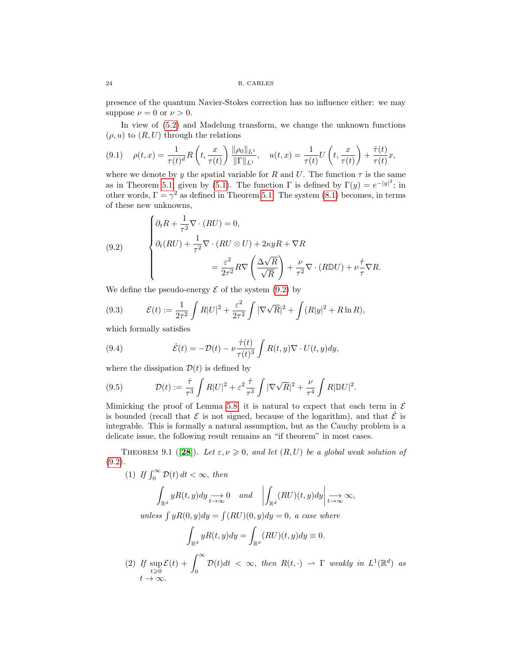presence of the quantum Navier-Stokes correction has no influence either: we may suppose  $\nu = 0$  or  $\nu > 0$ .

In view of [\(5.2\)](#page-13-2) and Madelung transform, we change the unknown functions  $(\rho, u)$  to  $(R, U)$  through the relations

<span id="page-23-1"></span>
$$
(9.1) \quad \rho(t,x) = \frac{1}{\tau(t)^d} R\left(t, \frac{x}{\tau(t)}\right) \frac{\|\rho_0\|_{L^1}}{\|\Gamma\|_{L^1}}, \quad u(t,x) = \frac{1}{\tau(t)} U\left(t, \frac{x}{\tau(t)}\right) + \frac{\dot{\tau}(t)}{\tau(t)} x,
$$

where we denote by y the spatial variable for R and U. The function  $\tau$  is the same as in Theorem [5.1,](#page-13-4) given by [\(5.1\)](#page-13-5). The function  $\Gamma$  is defined by  $\Gamma(y) = e^{-|y|^2}$ ; in other words,  $\Gamma = \gamma^2$  as defined in Theorem [5.1.](#page-13-4) The system [\(8.1\)](#page-22-0) becomes, in terms of these new unknowns,

<span id="page-23-0"></span>(9.2) 
$$
\begin{cases} \partial_t R + \frac{1}{\tau^2} \nabla \cdot (RU) = 0, \\ \partial_t (RU) + \frac{1}{\tau^2} \nabla \cdot (RU \otimes U) + 2\kappa yR + \nabla R \\ = \frac{\varepsilon^2}{2\tau^2} R \nabla \left( \frac{\Delta \sqrt{R}}{\sqrt{R}} \right) + \frac{\nu}{\tau^2} \nabla \cdot (R \mathbb{D} U) + \nu \frac{\dot{\tau}}{\tau} \nabla R. \end{cases}
$$

We define the pseudo-energy  $\mathcal E$  of the system [\(9.2\)](#page-23-0) by

<span id="page-23-2"></span>(9.3) 
$$
\mathcal{E}(t) := \frac{1}{2\tau^2} \int R|U|^2 + \frac{\varepsilon^2}{2\tau^2} \int |\nabla \sqrt{R}|^2 + \int (R|y|^2 + R \ln R),
$$

which formally satisfies

<span id="page-23-3"></span>(9.4) 
$$
\dot{\mathcal{E}}(t) = -\mathcal{D}(t) - \nu \frac{\dot{\tau}(t)}{\tau(t)^3} \int R(t, y) \nabla \cdot U(t, y) dy,
$$

where the dissipation  $\mathcal{D}(t)$  is defined by

(9.5) 
$$
\mathcal{D}(t) := \frac{\dot{\tau}}{\tau^3} \int R|U|^2 + \varepsilon^2 \frac{\dot{\tau}}{\tau^3} \int |\nabla \sqrt{R}|^2 + \frac{\nu}{\tau^4} \int R|\mathbb{D}U|^2.
$$

Mimicking the proof of Lemma [5.8,](#page-16-1) it is natural to expect that each term in  $\mathcal E$ is bounded (recall that  $\mathcal E$  is not signed, because of the logarithm), and that  $\dot{\mathcal E}$  is integrable. This is formally a natural assumption, but as the Cauchy problem is a delicate issue, the following result remains an "if theorem" in most cases.

THEOREM 9.1 ([[28](#page-27-15)]). Let  $\varepsilon, \nu \geq 0$ , and let  $(R, U)$  be a global weak solution of  $(9.2).$  $(9.2).$ 

(1) If 
$$
\int_0^{\infty} \mathcal{D}(t) dt < \infty
$$
, then  
\n
$$
\int_{\mathbb{R}^d} yR(t, y) dy \xrightarrow[t \to \infty]{} 0 \quad and \quad \left| \int_{\mathbb{R}^d} (RU)(t, y) dy \right| \xrightarrow[t \to \infty]{} \infty,
$$
\nunless  $\int yR(0, y) dy = \int (RU)(0, y) dy = 0$ , a case where  
\n
$$
\int_{\mathbb{R}^d} yR(t, y) dy = \int_{\mathbb{R}^d} (RU)(t, y) dy = 0.
$$
\n(2) If  $\sup \mathcal{E}(t) + \int_{-\infty}^{\infty} \mathcal{D}(t) dt < \infty$ , then  $R(t, \cdot) \to \Gamma$  weakly in  $L^1(\mathbb{R}^d)$ .

2) If 
$$
\sup_{t\geq 0} E(t) + \int_0^\infty D(t)dt < \infty
$$
, then  $R(t, \cdot) \to \Gamma$  weakly in  $L^1(\mathbb{R}^d)$  as  $t \to \infty$ .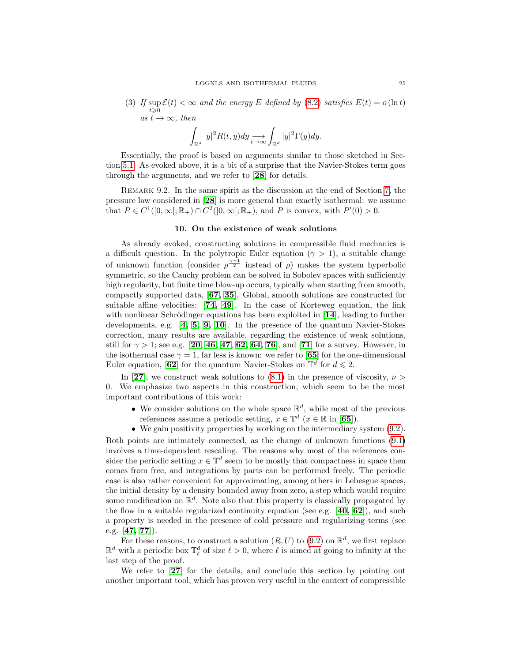(3) If  $\sup \mathcal{E}(t) < \infty$  and the energy E defined by [\(8.2\)](#page-22-1) satisfies  $E(t) = o(\ln t)$  $t\geqslant 0$ as  $t \to \infty$ , then

$$
\int_{\mathbb{R}^d} |y|^2 R(t,y) dy \underset{t \to \infty}{\longrightarrow} \int_{\mathbb{R}^d} |y|^2 \Gamma(y) dy.
$$

Essentially, the proof is based on arguments similar to those sketched in Section [5.1.](#page-15-2) As evoked above, it is a bit of a surprise that the Navier-Stokes term goes through the arguments, and we refer to [[28](#page-27-15)] for details.

<span id="page-24-0"></span>REMARK 9.2. In the same spirit as the discussion at the end of Section [7,](#page-20-0) the pressure law considered in [[28](#page-27-15)] is more general than exactly isothermal: we assume that  $P \in C^1([0,\infty[;\mathbb{R}_+) \cap C^2([0,\infty[;\mathbb{R}_+))$ , and P is convex, with  $P'(0) > 0$ .

## 10. On the existence of weak solutions

As already evoked, constructing solutions in compressible fluid mechanics is a difficult question. In the polytropic Euler equation ( $\gamma > 1$ ), a suitable change of unknown function (consider  $\rho^{\frac{\gamma-1}{2}}$  instead of  $\rho$ ) makes the system hyperbolic symmetric, so the Cauchy problem can be solved in Sobolev spaces with sufficiently high regularity, but finite time blow-up occurs, typically when starting from smooth, compactly supported data, [[67,](#page-29-20) [35](#page-28-22)]. Global, smooth solutions are constructed for suitable affine velocities: [[74,](#page-29-21) [49](#page-28-23)]. In the case of Korteweg equation, the link with nonlinear Schrödinger equations has been exploited in  $[14]$  $[14]$  $[14]$ , leading to further developments, e.g. [[4,](#page-26-3) [5,](#page-27-18) [9,](#page-27-19) [10](#page-27-20)]. In the presence of the quantum Navier-Stokes correction, many results are available, regarding the existence of weak solutions, still for  $\gamma > 1$ ; see e.g. [[20,](#page-27-21) [46,](#page-28-24) [47,](#page-28-25) [62,](#page-29-22) [64,](#page-29-23) [76](#page-29-24)], and [[71](#page-29-18)] for a survey. However, in the isothermal case  $\gamma = 1$ , far less is known: we refer to [[65](#page-29-25)] for the one-dimensional Euler equation, [[62](#page-29-22)] for the quantum Navier-Stokes on  $\mathbb{T}^d$  for  $d \leq 2$ .

In [[27](#page-27-16)], we construct weak solutions to [\(8.1\)](#page-22-0) in the presence of viscosity,  $\nu >$ 0. We emphasize two aspects in this construction, which seem to be the most important contributions of this work:

- We consider solutions on the whole space  $\mathbb{R}^d$ , while most of the previous references assume a periodic setting,  $x \in \mathbb{T}^d$   $(x \in \mathbb{R}$  in [[65](#page-29-25)]).
- We gain positivity properties by working on the intermediary system [\(9.2\)](#page-23-0).

Both points are intimately connected, as the change of unknown functions [\(9.1\)](#page-23-1) involves a time-dependent rescaling. The reasons why most of the references consider the periodic setting  $x \in \mathbb{T}^d$  seem to be mostly that compactness in space then comes from free, and integrations by parts can be performed freely. The periodic case is also rather convenient for approximating, among others in Lebesgue spaces, the initial density by a density bounded away from zero, a step which would require some modification on  $\mathbb{R}^d$ . Note also that this property is classically propagated by the flow in a suitable regularized continuity equation (see e.g. [[40,](#page-28-21) [62](#page-29-22)]), and such a property is needed in the presence of cold pressure and regularizing terms (see e.g.  $[47, 77]$  $[47, 77]$  $[47, 77]$  $[47, 77]$ .

For these reasons, to construct a solution  $(R, U)$  to  $(9.2)$  on  $\mathbb{R}^d$ , we first replace  $\mathbb{R}^d$  with a periodic box  $\mathbb{T}_\ell^d$  of size  $\ell > 0$ , where  $\ell$  is aimed at going to infinity at the last step of the proof.

We refer to [[27](#page-27-16)] for the details, and conclude this section by pointing out another important tool, which has proven very useful in the context of compressible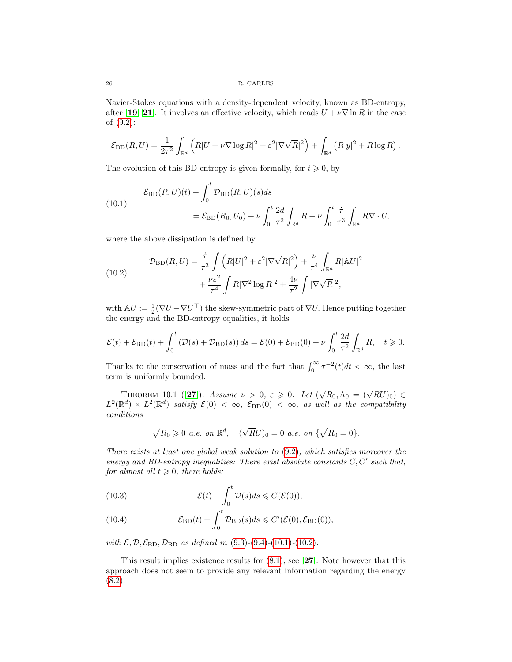Navier-Stokes equations with a density-dependent velocity, known as BD-entropy, after [[19,](#page-27-22) [21](#page-27-23)]. It involves an effective velocity, which reads  $U + \nu \nabla \ln R$  in the case of [\(9.2\)](#page-23-0):

$$
\mathcal{E}_{\mathrm{BD}}(R,U) = \frac{1}{2\tau^2} \int_{\mathbb{R}^d} \left( R|U + \nu \nabla \log R|^2 + \varepsilon^2 |\nabla \sqrt{R}|^2 \right) + \int_{\mathbb{R}^d} \left( R|y|^2 + R \log R \right).
$$

The evolution of this BD-entropy is given formally, for  $t \geq 0$ , by

<span id="page-25-0"></span>(10.1) 
$$
\mathcal{E}_{\text{BD}}(R, U)(t) + \int_0^t \mathcal{D}_{\text{BD}}(R, U)(s)ds \n= \mathcal{E}_{\text{BD}}(R_0, U_0) + \nu \int_0^t \frac{2d}{\tau^2} \int_{\mathbb{R}^d} R + \nu \int_0^t \frac{\dot{\tau}}{\tau^3} \int_{\mathbb{R}^d} R \nabla \cdot U,
$$

where the above dissipation is defined by

<span id="page-25-1"></span>(10.2)  
\n
$$
\mathcal{D}_{\text{BD}}(R, U) = \frac{\dot{\tau}}{\tau^3} \int \left( R|U|^2 + \varepsilon^2 |\nabla \sqrt{R}|^2 \right) + \frac{\nu}{\tau^4} \int_{\mathbb{R}^d} R |\mathbb{A} U|^2 + \frac{\nu \varepsilon^2}{\tau^4} \int R |\nabla^2 \log R|^2 + \frac{4\nu}{\tau^2} \int |\nabla \sqrt{R}|^2,
$$

with  $\mathbb{A}U := \frac{1}{2}(\nabla U - \nabla U^{\top})$  the skew-symmetric part of  $\nabla U$ . Hence putting together the energy and the BD-entropy equalities, it holds

$$
\mathcal{E}(t) + \mathcal{E}_{\mathrm{BD}}(t) + \int_0^t \left(\mathcal{D}(s) + \mathcal{D}_{\mathrm{BD}}(s)\right) ds = \mathcal{E}(0) + \mathcal{E}_{\mathrm{BD}}(0) + \nu \int_0^t \frac{2d}{\tau^2} \int_{\mathbb{R}^d} R, \quad t \geqslant 0.
$$

Thanks to the conservation of mass and the fact that  $\int_0^\infty \tau^{-2}(t)dt < \infty$ , the last term is uniformly bounded.

THEOREM 10.1 ([[27](#page-27-16)]). Assume  $\nu > 0$ ,  $\varepsilon \geqslant 0$ . Let  $(\sqrt{R_0}, \Lambda_0 = (\sqrt{R}U)_0) \in$  $L^2(\mathbb{R}^d) \times L^2(\mathbb{R}^d)$  satisfy  $\mathcal{E}(0) < \infty$ ,  $\mathcal{E}_{\mathrm{BD}}(0) < \infty$ , as well as the compatibility conditions

$$
\sqrt{R_0} \ge 0
$$
 a.e. on  $\mathbb{R}^d$ ,  $(\sqrt{R}U)_0 = 0$  a.e. on  $\{\sqrt{R_0} = 0\}$ .

There exists at least one global weak solution to [\(9.2\)](#page-23-0), which satisfies moreover the energy and BD-entropy inequalities: There exist absolute constants  $C, C'$  such that, for almost all  $t \geq 0$ , there holds:

(10.3) 
$$
\mathcal{E}(t) + \int_0^t \mathcal{D}(s)ds \leqslant C(\mathcal{E}(0)),
$$

(10.4) 
$$
\mathcal{E}_{\mathrm{BD}}(t) + \int_0^t \mathcal{D}_{\mathrm{BD}}(s)ds \leqslant C'(\mathcal{E}(0), \mathcal{E}_{\mathrm{BD}}(0)),
$$

with  $\mathcal{E}, \mathcal{D}, \mathcal{E}_{BD}, \mathcal{D}_{BD}$  as defined in [\(9.3\)](#page-23-2)-[\(9.4\)](#page-23-3)-[\(10.1\)](#page-25-0)-[\(10.2\)](#page-25-1).

This result implies existence results for  $(8.1)$ , see [[27](#page-27-16)]. Note however that this approach does not seem to provide any relevant information regarding the energy  $(8.2).$  $(8.2).$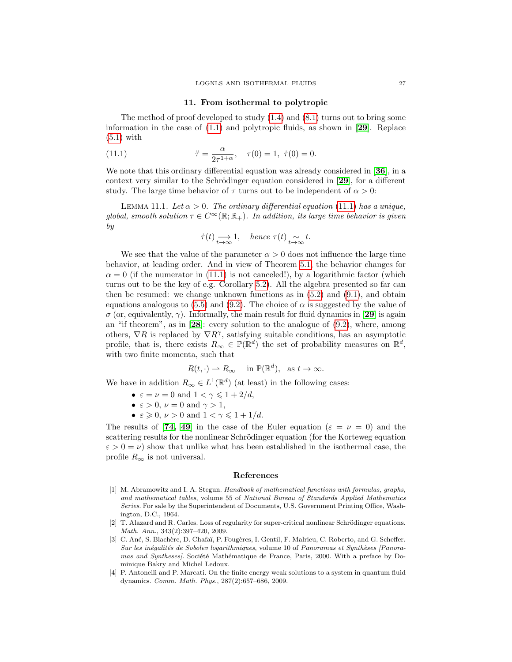### <span id="page-26-4"></span>11. From isothermal to polytropic

The method of proof developed to study [\(1.4\)](#page-3-0) and [\(8.1\)](#page-22-0) turns out to bring some information in the case of  $(1.1)$  and polytropic fluids, as shown in [[29](#page-28-26)]. Replace [\(5.1\)](#page-13-5) with

(11.1) 
$$
\ddot{\tau} = \frac{\alpha}{2\tau^{1+\alpha}}, \quad \tau(0) = 1, \ \dot{\tau}(0) = 0.
$$

We note that this ordinary differential equation was already considered in [[36](#page-28-17)], in a context very similar to the Schrödinger equation considered in  $[29]$  $[29]$  $[29]$ , for a different study. The large time behavior of  $\tau$  turns out to be independent of  $\alpha > 0$ :

LEMMA 11.1. Let  $\alpha > 0$ . The ordinary differential equation [\(11.1\)](#page-26-4) has a unique, global, smooth solution  $\tau \in C^{\infty}(\mathbb{R}; \mathbb{R}_{+})$ . In addition, its large time behavior is given by

$$
\dot{\tau}(t) \longrightarrow_{t \to \infty} 1
$$
, hence  $\tau(t) \sim_{t \to \infty} t$ .

We see that the value of the parameter  $\alpha > 0$  does not influence the large time behavior, at leading order. And in view of Theorem [5.1,](#page-13-4) the behavior changes for  $\alpha = 0$  (if the numerator in [\(11.1\)](#page-26-4) is not canceled!), by a logarithmic factor (which turns out to be the key of e.g. Corollary [5.2\)](#page-14-0). All the algebra presented so far can then be resumed: we change unknown functions as in  $(5.2)$  and  $(9.1)$ , and obtain equations analogous to [\(5.5\)](#page-15-0) and [\(9.2\)](#page-23-0). The choice of  $\alpha$  is suggested by the value of σ (or, equivalently, γ). Informally, the main result for fluid dynamics in [[29](#page-28-26)] is again an "if theorem", as in  $[28]$  $[28]$  $[28]$ : every solution to the analogue of  $(9.2)$ , where, among others,  $\nabla R$  is replaced by  $\nabla R^{\gamma}$ , satisfying suitable conditions, has an asymptotic profile, that is, there exists  $R_{\infty} \in \mathbb{P}(\mathbb{R}^d)$  the set of probability measures on  $\mathbb{R}^d$ , with two finite momenta, such that

$$
R(t, \cdot) \rightharpoonup R_{\infty} \quad \text{ in } \mathbb{P}(\mathbb{R}^d), \text{ as } t \to \infty.
$$

We have in addition  $R_{\infty} \in L^1(\mathbb{R}^d)$  (at least) in the following cases:

- $\varepsilon = \nu = 0$  and  $1 < \gamma \leq 1 + 2/d$ ,
- $\varepsilon > 0$ ,  $\nu = 0$  and  $\gamma > 1$ ,
- $\varepsilon \geqslant 0$ ,  $\nu > 0$  and  $1 < \gamma \leqslant 1 + 1/d$ .

The results of [[74,](#page-29-21) [49](#page-28-23)] in the case of the Euler equation ( $\varepsilon = \nu = 0$ ) and the scattering results for the nonlinear Schrödinger equation (for the Korteweg equation  $\varepsilon > 0 = \nu$ ) show that unlike what has been established in the isothermal case, the profile  $R_{\infty}$  is not universal.

### References

- <span id="page-26-0"></span>[1] M. Abramowitz and I. A. Stegun. Handbook of mathematical functions with formulas, graphs, and mathematical tables, volume 55 of National Bureau of Standards Applied Mathematics Series. For sale by the Superintendent of Documents, U.S. Government Printing Office, Washington, D.C., 1964.
- <span id="page-26-1"></span>[2] T. Alazard and R. Carles. Loss of regularity for super-critical nonlinear Schrödinger equations. Math. Ann., 343(2):397–420, 2009.
- <span id="page-26-2"></span>[3] C. Ané, S. Blachère, D. Chafaï, P. Fougères, I. Gentil, F. Malrieu, C. Roberto, and G. Scheffer. Sur les inégalités de Sobolev logarithmiques, volume 10 of Panoramas et Synthèses [Panoramas and Syntheses/. Société Mathématique de France, Paris, 2000. With a preface by Dominique Bakry and Michel Ledoux.
- <span id="page-26-3"></span>[4] P. Antonelli and P. Marcati. On the finite energy weak solutions to a system in quantum fluid dynamics. Comm. Math. Phys., 287(2):657–686, 2009.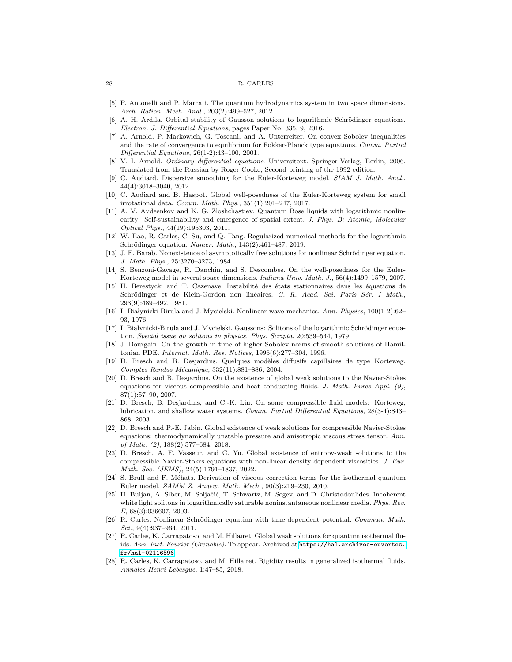#### 28 R. CARLES

- <span id="page-27-18"></span>[5] P. Antonelli and P. Marcati. The quantum hydrodynamics system in two space dimensions. Arch. Ration. Mech. Anal., 203(2):499–527, 2012.
- <span id="page-27-7"></span>[6] A. H. Ardila. Orbital stability of Gausson solutions to logarithmic Schrödinger equations. Electron. J. Differential Equations, pages Paper No. 335, 9, 2016.
- <span id="page-27-11"></span>[7] A. Arnold, P. Markowich, G. Toscani, and A. Unterreiter. On convex Sobolev inequalities and the rate of convergence to equilibrium for Fokker-Planck type equations. Comm. Partial Differential Equations, 26(1-2):43–100, 2001.
- <span id="page-27-5"></span>[8] V. I. Arnold. Ordinary differential equations. Universitext. Springer-Verlag, Berlin, 2006. Translated from the Russian by Roger Cooke, Second printing of the 1992 edition.
- <span id="page-27-19"></span>C. Audiard. Dispersive smoothing for the Euler-Korteweg model. SIAM J. Math. Anal., 44(4):3018–3040, 2012.
- <span id="page-27-20"></span>[10] C. Audiard and B. Haspot. Global well-posedness of the Euler-Korteweg system for small irrotational data. Comm. Math. Phys., 351(1):201–247, 2017.
- <span id="page-27-4"></span>[11] A. V. Avdeenkov and K. G. Zloshchastiev. Quantum Bose liquids with logarithmic nonlinearity: Self-sustainability and emergence of spatial extent. J. Phys. B: Atomic, Molecular Optical Phys., 44(19):195303, 2011.
- <span id="page-27-8"></span>[12] W. Bao, R. Carles, C. Su, and Q. Tang. Regularized numerical methods for the logarithmic Schrödinger equation. Numer. Math., 143(2):461-487, 2019.
- <span id="page-27-0"></span>[13] J. E. Barab. Nonexistence of asymptotically free solutions for nonlinear Schrödinger equation. J. Math. Phys., 25:3270–3273, 1984.
- <span id="page-27-17"></span>[14] S. Benzoni-Gavage, R. Danchin, and S. Descombes. On the well-posedness for the Euler-Korteweg model in several space dimensions. Indiana Univ. Math. J., 56(4):1499–1579, 2007.
- <span id="page-27-1"></span>[15] H. Berestycki and T. Cazenave. Instabilité des états stationnaires dans les équations de Schrödinger et de Klein-Gordon non linéaires. C. R. Acad. Sci. Paris Sér. I Math., 293(9):489–492, 1981.
- <span id="page-27-2"></span>[16] I. Białynicki-Birula and J. Mycielski. Nonlinear wave mechanics. Ann. Physics, 100(1-2):62-93, 1976.
- <span id="page-27-6"></span>[17] I. Białynicki-Birula and J. Mycielski. Gaussons: Solitons of the logarithmic Schrödinger equation. Special issue on solitons in physics, Phys. Scripta, 20:539–544, 1979.
- <span id="page-27-9"></span>[18] J. Bourgain. On the growth in time of higher Sobolev norms of smooth solutions of Hamiltonian PDE. Internat. Math. Res. Notices, 1996(6):277–304, 1996.
- <span id="page-27-22"></span>[19] D. Bresch and B. Desjardins. Quelques modèles diffusifs capillaires de type Korteweg.  $Comptes$  Rendus Mécanique, 332(11):881-886, 2004.
- <span id="page-27-21"></span>[20] D. Bresch and B. Desjardins. On the existence of global weak solutions to the Navier-Stokes equations for viscous compressible and heat conducting fluids. J. Math. Pures Appl.  $(9)$ , 87(1):57–90, 2007.
- <span id="page-27-23"></span>[21] D. Bresch, B. Desjardins, and C.-K. Lin. On some compressible fluid models: Korteweg, lubrication, and shallow water systems. Comm. Partial Differential Equations, 28(3-4):843– 868, 2003.
- <span id="page-27-13"></span>[22] D. Bresch and P.-E. Jabin. Global existence of weak solutions for compressible Navier-Stokes equations: thermodynamically unstable pressure and anisotropic viscous stress tensor. Ann. of Math. (2), 188(2):577–684, 2018.
- <span id="page-27-14"></span>[23] D. Bresch, A. F. Vasseur, and C. Yu. Global existence of entropy-weak solutions to the compressible Navier-Stokes equations with non-linear density dependent viscosities. J. Eur. Math. Soc. (JEMS), 24(5):1791–1837, 2022.
- <span id="page-27-12"></span>[24] S. Brull and F. Méhats. Derivation of viscous correction terms for the isothermal quantum Euler model. ZAMM Z. Angew. Math. Mech., 90(3):219–230, 2010.
- <span id="page-27-3"></span>[25] H. Buljan, A. Šiber, M. Soljačić, T. Schwartz, M. Segev, and D. Christodoulides. Incoherent white light solitons in logarithmically saturable noninstantaneous nonlinear media. Phys. Rev. E, 68(3):036607, 2003.
- <span id="page-27-10"></span>[26] R. Carles. Nonlinear Schrödinger equation with time dependent potential. Commun. Math. Sci., 9(4):937–964, 2011.
- <span id="page-27-16"></span>[27] R. Carles, K. Carrapatoso, and M. Hillairet. Global weak solutions for quantum isothermal fluids. Ann. Inst. Fourier (Grenoble). To appear. Archived at [https://hal.archives-ouvertes.](https://hal.archives-ouvertes.fr/hal-02116596) [fr/hal-02116596](https://hal.archives-ouvertes.fr/hal-02116596).
- <span id="page-27-15"></span>[28] R. Carles, K. Carrapatoso, and M. Hillairet. Rigidity results in generalized isothermal fluids. Annales Henri Lebesgue, 1:47–85, 2018.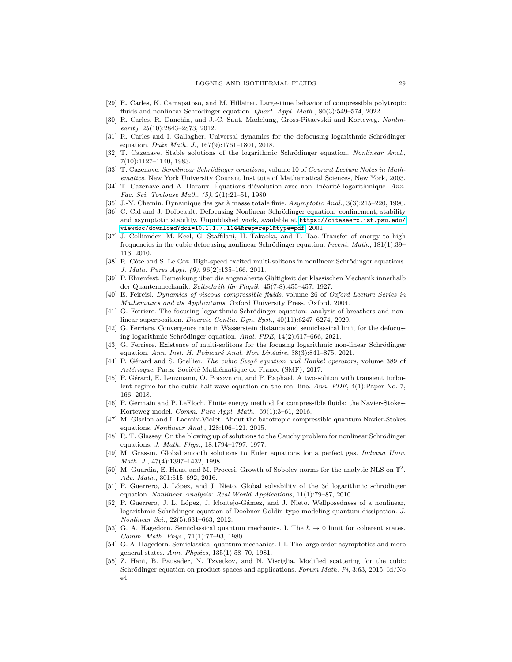- <span id="page-28-26"></span>[29] R. Carles, K. Carrapatoso, and M. Hillairet. Large-time behavior of compressible polytropic fluids and nonlinear Schrödinger equation. *Quart. Appl. Math.*,  $80(3):549-574$ , 2022.
- <span id="page-28-19"></span>[30] R. Carles, R. Danchin, and J.-C. Saut. Madelung, Gross-Pitaevskii and Korteweg. Nonlin- $\sqrt{25(10)}$ :2843-2873, 2012.
- <span id="page-28-5"></span>[31] R. Carles and I. Gallagher. Universal dynamics for the defocusing logarithmic Schrödinger equation. Duke Math. J., 167(9):1761–1801, 2018.
- <span id="page-28-9"></span>[32] T. Cazenave. Stable solutions of the logarithmic Schrödinger equation. Nonlinear Anal., 7(10):1127–1140, 1983.
- <span id="page-28-0"></span>[33] T. Cazenave. Semilinear Schrödinger equations, volume 10 of Courant Lecture Notes in Mathematics. New York University Courant Institute of Mathematical Sciences, New York, 2003.
- <span id="page-28-2"></span>[34] T. Cazenave and A. Haraux. Équations d'évolution avec non linéarité logarithmique.  $Ann$ . Fac. Sci. Toulouse Math. (5), 2(1):21–51, 1980.
- <span id="page-28-22"></span>[35] J.-Y. Chemin. Dynamique des gaz à masse totale finie. Asymptotic Anal., 3(3):215-220, 1990.
- <span id="page-28-17"></span>[36] C. Cid and J. Dolbeault. Defocusing Nonlinear Schrödinger equation: confinement, stability and asymptotic stability. Unpublished work, available at [https://citeseerx.ist.psu.edu/](https://citeseerx.ist.psu.edu/viewdoc/download?doi=10.1.1.7.1144&rep=rep1&type=pdf) [viewdoc/download?doi=10.1.1.7.1144&rep=rep1&type=pdf](https://citeseerx.ist.psu.edu/viewdoc/download?doi=10.1.1.7.1144&rep=rep1&type=pdf), 2001.
- <span id="page-28-12"></span>[37] J. Colliander, M. Keel, G. Staffilani, H. Takaoka, and T. Tao. Transfer of energy to high frequencies in the cubic defocusing nonlinear Schrödinger equation. Invent. Math.,  $181(1):39-$ 113, 2010.
- <span id="page-28-10"></span>[38] R. Côte and S. Le Coz. High-speed excited multi-solitons in nonlinear Schrödinger equations. J. Math. Pures Appl. (9), 96(2):135–166, 2011.
- <span id="page-28-18"></span>[39] P. Ehrenfest. Bemerkung über die angenaherte Gültigkeit der klassischen Mechanik innerhalb der Quantenmechanik. Zeitschrift für Physik, 45(7-8):455–457, 1927.
- <span id="page-28-21"></span>[40] E. Feireisl. Dynamics of viscous compressible fluids, volume 26 of Oxford Lecture Series in Mathematics and its Applications. Oxford University Press, Oxford, 2004.
- <span id="page-28-8"></span>[41] G. Ferriere. The focusing logarithmic Schrödinger equation: analysis of breathers and nonlinear superposition. Discrete Contin. Dyn. Syst., 40(11):6247–6274, 2020.
- <span id="page-28-20"></span>[42] G. Ferriere. Convergence rate in Wasserstein distance and semiclassical limit for the defocusing logarithmic Schrödinger equation. Anal. PDE,  $14(2):617-666$ ,  $2021$ .
- <span id="page-28-11"></span>[43] G. Ferriere. Existence of multi-solitons for the focusing logarithmic non-linear Schrödinger equation. Ann. Inst. H. Poincaré Anal. Non Linéaire, 38(3):841–875, 2021.
- <span id="page-28-13"></span>[44] P. Gérard and S. Grellier. The cubic Szegö equation and Hankel operators, volume 389 of Astérisque. Paris: Société Mathématique de France (SMF), 2017.
- <span id="page-28-14"></span>[45] P. Gérard, E. Lenzmann, O. Pocovnicu, and P. Raphaël. A two-soliton with transient turbulent regime for the cubic half-wave equation on the real line. Ann. PDE, 4(1):Paper No. 7, 166, 2018.
- <span id="page-28-24"></span>[46] P. Germain and P. LeFloch. Finite energy method for compressible fluids: the Navier-Stokes-Korteweg model. Comm. Pure Appl. Math., 69(1):3–61, 2016.
- <span id="page-28-25"></span>[47] M. Gisclon and I. Lacroix-Violet. About the barotropic compressible quantum Navier-Stokes equations. Nonlinear Anal., 128:106–121, 2015.
- <span id="page-28-1"></span>[48] R. T. Glassey. On the blowing up of solutions to the Cauchy problem for nonlinear Schrödinger equations. J. Math. Phys., 18:1794–1797, 1977.
- <span id="page-28-23"></span>[49] M. Grassin. Global smooth solutions to Euler equations for a perfect gas. Indiana Univ. Math. J., 47(4):1397–1432, 1998.
- <span id="page-28-15"></span>[50] M. Guardia, E. Haus, and M. Procesi. Growth of Sobolev norms for the analytic NLS on  $\mathbb{T}^2$ . Adv. Math., 301:615–692, 2016.
- <span id="page-28-4"></span>[51] P. Guerrero, J. López, and J. Nieto. Global solvability of the 3d logarithmic schrödinger equation. Nonlinear Analysis: Real World Applications, 11(1):79–87, 2010.
- <span id="page-28-3"></span>[52] P. Guerrero, J. L. López, J. Montejo-Gámez, and J. Nieto. Wellposedness of a nonlinear, logarithmic Schrödinger equation of Doebner-Goldin type modeling quantum dissipation. J. Nonlinear Sci., 22(5):631–663, 2012.
- <span id="page-28-6"></span>[53] G. A. Hagedorn. Semiclassical quantum mechanics. I. The  $\hbar \to 0$  limit for coherent states. Comm. Math. Phys., 71(1):77–93, 1980.
- <span id="page-28-7"></span>[54] G. A. Hagedorn. Semiclassical quantum mechanics. III. The large order asymptotics and more general states. Ann. Physics, 135(1):58–70, 1981.
- <span id="page-28-16"></span>[55] Z. Hani, B. Pausader, N. Tzvetkov, and N. Visciglia. Modified scattering for the cubic Schrödinger equation on product spaces and applications. Forum Math. Pi, 3:63, 2015. Id/No e4.